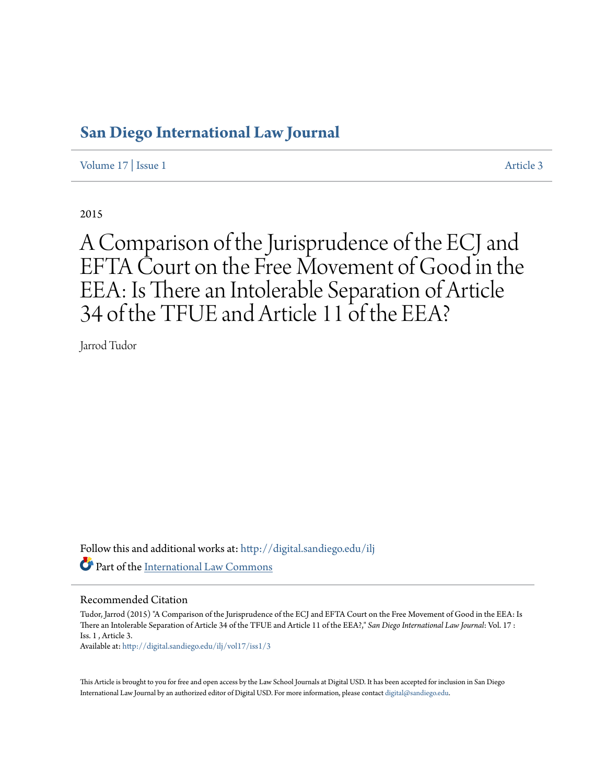# **[San Diego International Law Journal](http://digital.sandiego.edu/ilj?utm_source=digital.sandiego.edu%2Filj%2Fvol17%2Fiss1%2F3&utm_medium=PDF&utm_campaign=PDFCoverPages)**

[Volume 17](http://digital.sandiego.edu/ilj/vol17?utm_source=digital.sandiego.edu%2Filj%2Fvol17%2Fiss1%2F3&utm_medium=PDF&utm_campaign=PDFCoverPages) | [Issue 1](http://digital.sandiego.edu/ilj/vol17/iss1?utm_source=digital.sandiego.edu%2Filj%2Fvol17%2Fiss1%2F3&utm_medium=PDF&utm_campaign=PDFCoverPages) [Article 3](http://digital.sandiego.edu/ilj/vol17/iss1/3?utm_source=digital.sandiego.edu%2Filj%2Fvol17%2Fiss1%2F3&utm_medium=PDF&utm_campaign=PDFCoverPages)

2015

A Comparison of the Jurisprudence of the ECJ and EFTA Court on the Free Movement of Good in the EEA: Is There an Intolerable Separation of Article 34 of the TFUE and Article 11 of the EEA?

Jarrod Tudor

Follow this and additional works at: [http://digital.sandiego.edu/ilj](http://digital.sandiego.edu/ilj?utm_source=digital.sandiego.edu%2Filj%2Fvol17%2Fiss1%2F3&utm_medium=PDF&utm_campaign=PDFCoverPages) Part of the [International Law Commons](http://network.bepress.com/hgg/discipline/609?utm_source=digital.sandiego.edu%2Filj%2Fvol17%2Fiss1%2F3&utm_medium=PDF&utm_campaign=PDFCoverPages)

# Recommended Citation

Tudor, Jarrod (2015) "A Comparison of the Jurisprudence of the ECJ and EFTA Court on the Free Movement of Good in the EEA: Is There an Intolerable Separation of Article 34 of the TFUE and Article 11 of the EEA?," *San Diego International Law Journal*: Vol. 17 : Iss. 1 , Article 3.

Available at: [http://digital.sandiego.edu/ilj/vol17/iss1/3](http://digital.sandiego.edu/ilj/vol17/iss1/3?utm_source=digital.sandiego.edu%2Filj%2Fvol17%2Fiss1%2F3&utm_medium=PDF&utm_campaign=PDFCoverPages)

This Article is brought to you for free and open access by the Law School Journals at Digital USD. It has been accepted for inclusion in San Diego International Law Journal by an authorized editor of Digital USD. For more information, please contact [digital@sandiego.edu](mailto:digital@sandiego.edu).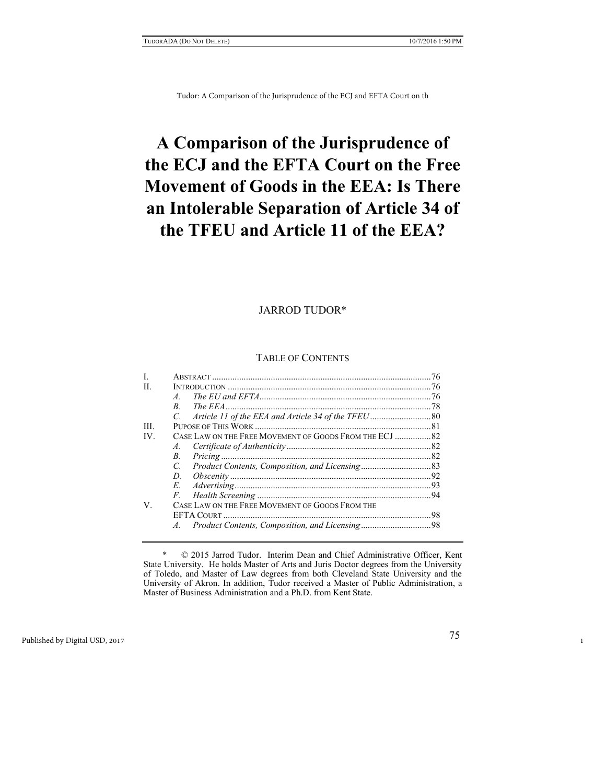# **A Comparison of the Jurisprudence of the ECJ and the EFTA Court on the Free Movement of Goods in the EEA: Is There an Intolerable Separation of Article 34 of the TFEU and Article 11 of the EEA?**

# JARROD TUDOR\*

# TABLE OF CONTENTS

| L   |                                                 |  |
|-----|-------------------------------------------------|--|
| H.  |                                                 |  |
|     | $\overline{A}$                                  |  |
|     | R.                                              |  |
|     | $C_{\cdot}$                                     |  |
| Ш   |                                                 |  |
| IV. |                                                 |  |
|     | $A_{-}$                                         |  |
|     | B.                                              |  |
|     | $C_{\cdot}$                                     |  |
|     | D.                                              |  |
|     | E.                                              |  |
|     | $F_{\cdot}$                                     |  |
| V.  | CASE LAW ON THE FREE MOVEMENT OF GOODS FROM THE |  |
|     |                                                 |  |
|     | $\overline{A}$                                  |  |

 \* © 2015 Jarrod Tudor. Interim Dean and Chief Administrative Officer, Kent State University. He holds Master of Arts and Juris Doctor degrees from the University of Toledo, and Master of Law degrees from both Cleveland State University and the University of Akron. In addition, Tudor received a Master of Public Administration, a Master of Business Administration and a Ph.D. from Kent State.

1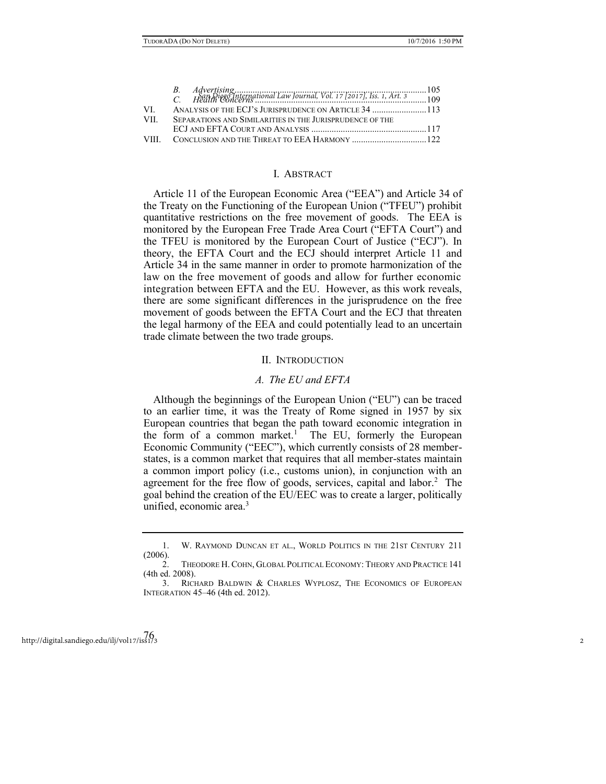| VI – |                                                          |  |
|------|----------------------------------------------------------|--|
| VII  | SEPARATIONS AND SIMILARITIES IN THE JURISPRUDENCE OF THE |  |
|      |                                                          |  |
|      |                                                          |  |

### I. ABSTRACT

Article 11 of the European Economic Area ("EEA") and Article 34 of the Treaty on the Functioning of the European Union ("TFEU") prohibit quantitative restrictions on the free movement of goods. The EEA is monitored by the European Free Trade Area Court ("EFTA Court") and the TFEU is monitored by the European Court of Justice ("ECJ"). In theory, the EFTA Court and the ECJ should interpret Article 11 and Article 34 in the same manner in order to promote harmonization of the law on the free movement of goods and allow for further economic integration between EFTA and the EU. However, as this work reveals, there are some significant differences in the jurisprudence on the free movement of goods between the EFTA Court and the ECJ that threaten the legal harmony of the EEA and could potentially lead to an uncertain trade climate between the two trade groups.

#### II. INTRODUCTION

#### *A. The EU and EFTA*

Although the beginnings of the European Union ("EU") can be traced to an earlier time, it was the Treaty of Rome signed in 1957 by six European countries that began the path toward economic integration in the form of a common market.<sup>1</sup> The EU, formerly the European Economic Community ("EEC"), which currently consists of 28 memberstates, is a common market that requires that all member-states maintain a common import policy (i.e., customs union), in conjunction with an agreement for the free flow of goods, services, capital and labor.<sup>2</sup> The goal behind the creation of the EU/EEC was to create a larger, politically unified, economic area.<sup>3</sup>

<sup>1.</sup> W. RAYMOND DUNCAN ET AL., WORLD POLITICS IN THE 21ST CENTURY 211 (2006).

<sup>2.</sup> THEODORE H. COHN, GLOBAL POLITICAL ECONOMY: THEORY AND PRACTICE 141 (4th ed. 2008).

<sup>3.</sup> RICHARD BALDWIN & CHARLES WYPLOSZ, THE ECONOMICS OF EUROPEAN INTEGRATION 45–46 (4th ed. 2012).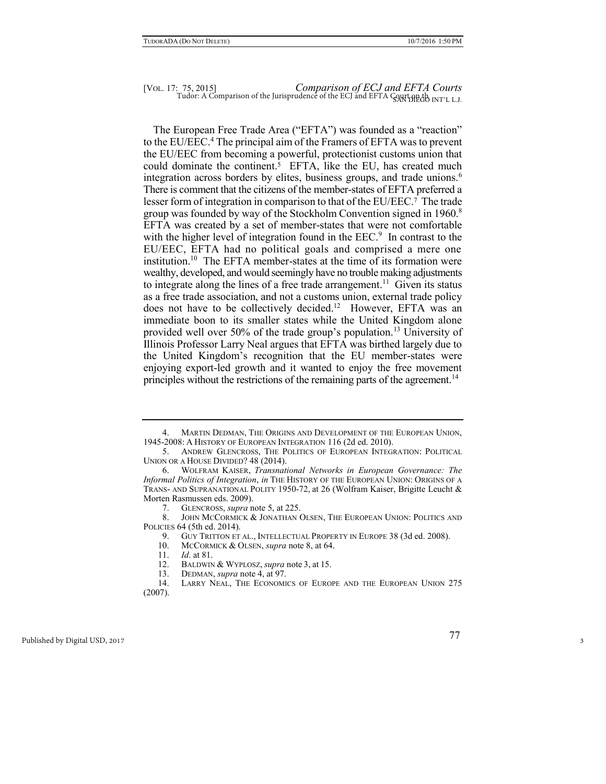The European Free Trade Area ("EFTA") was founded as a "reaction" to the EU/EEC.<sup>4</sup> The principal aim of the Framers of EFTA was to prevent the EU/EEC from becoming a powerful, protectionist customs union that could dominate the continent.<sup>5</sup> EFTA, like the EU, has created much integration across borders by elites, business groups, and trade unions.<sup>6</sup> There is comment that the citizens of the member-states of EFTA preferred a lesser form of integration in comparison to that of the EU/EEC.7 The trade group was founded by way of the Stockholm Convention signed in 1960.<sup>8</sup> EFTA was created by a set of member-states that were not comfortable with the higher level of integration found in the EEC.<sup>9</sup> In contrast to the EU/EEC, EFTA had no political goals and comprised a mere one institution.<sup>10</sup> The EFTA member-states at the time of its formation were wealthy, developed, and would seemingly have no trouble making adjustments to integrate along the lines of a free trade arrangement.<sup>11</sup> Given its status as a free trade association, and not a customs union, external trade policy does not have to be collectively decided.<sup>12</sup> However, EFTA was an immediate boon to its smaller states while the United Kingdom alone provided well over 50% of the trade group's population.<sup>13</sup> University of Illinois Professor Larry Neal argues that EFTA was birthed largely due to the United Kingdom's recognition that the EU member-states were enjoying export-led growth and it wanted to enjoy the free movement principles without the restrictions of the remaining parts of the agreement.<sup>14</sup>

<sup>4.</sup> MARTIN DEDMAN, THE ORIGINS AND DEVELOPMENT OF THE EUROPEAN UNION, 1945-2008: A HISTORY OF EUROPEAN INTEGRATION 116 (2d ed. 2010).

<sup>5.</sup> ANDREW GLENCROSS, THE POLITICS OF EUROPEAN INTEGRATION: POLITICAL UNION OR A HOUSE DIVIDED? 48 (2014).

<sup>6.</sup> WOLFRAM KAISER, *Transnational Networks in European Governance: The Informal Politics of Integration*, *in* THE HISTORY OF THE EUROPEAN UNION: ORIGINS OF A TRANS- AND SUPRANATIONAL POLITY 1950-72, at 26 (Wolfram Kaiser, Brigitte Leucht & Morten Rasmussen eds. 2009).

<sup>7.</sup> GLENCROSS, *supra* note 5, at 225.

<sup>8.</sup> JOHN MCCORMICK & JONATHAN OLSEN, THE EUROPEAN UNION: POLITICS AND POLICIES 64 (5th ed. 2014).

<sup>9.</sup> GUY TRITTON ET AL., INTELLECTUAL PROPERTY IN EUROPE 38 (3d ed. 2008).

<sup>10.</sup> MCCORMICK & OLSEN, *supra* note 8, at 64.

<sup>11.</sup> *Id*. at 81.

<sup>12.</sup> BALDWIN & WYPLOSZ, *supra* note 3, at 15.

<sup>13.</sup> DEDMAN, *supra* note 4, at 97.

<sup>14.</sup> LARRY NEAL, THE ECONOMICS OF EUROPE AND THE EUROPEAN UNION 275 (2007).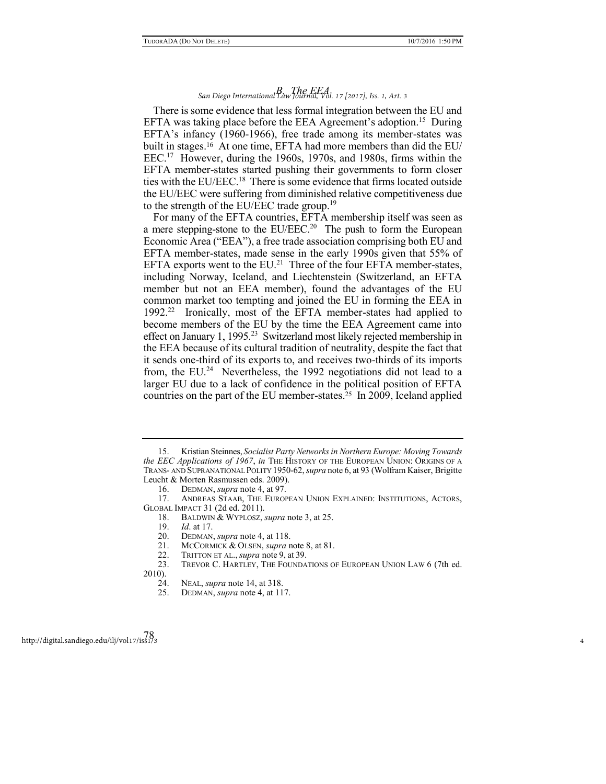# *B. The EEA San Diego International Law Journal, Vol. 17 [2017], Iss. 1, Art. 3*

There is some evidence that less formal integration between the EU and EFTA was taking place before the EEA Agreement's adoption.<sup>15</sup> During EFTA's infancy (1960-1966), free trade among its member-states was built in stages.16 At one time, EFTA had more members than did the EU/ EEC.<sup>17</sup> However, during the 1960s, 1970s, and 1980s, firms within the EFTA member-states started pushing their governments to form closer ties with the EU/EEC.<sup>18</sup> There is some evidence that firms located outside the EU/EEC were suffering from diminished relative competitiveness due to the strength of the EU/EEC trade group.<sup>19</sup>

For many of the EFTA countries, EFTA membership itself was seen as a mere stepping-stone to the EU/EEC.<sup>20</sup> The push to form the European Economic Area ("EEA"), a free trade association comprising both EU and EFTA member-states, made sense in the early 1990s given that 55% of EFTA exports went to the  $EU^{21}$  Three of the four EFTA member-states, including Norway, Iceland, and Liechtenstein (Switzerland, an EFTA member but not an EEA member), found the advantages of the EU common market too tempting and joined the EU in forming the EEA in 1992.<sup>22</sup> Ironically, most of the EFTA member-states had applied to become members of the EU by the time the EEA Agreement came into effect on January 1, 1995.<sup>23</sup> Switzerland most likely rejected membership in the EEA because of its cultural tradition of neutrality, despite the fact that it sends one-third of its exports to, and receives two-thirds of its imports from, the EU.<sup>24</sup> Nevertheless, the 1992 negotiations did not lead to a larger EU due to a lack of confidence in the political position of EFTA countries on the part of the EU member-states.25 In 2009, Iceland applied

<sup>15.</sup> Kristian Steinnes, *Socialist Party Networks in Northern Europe: Moving Towards the EEC Applications of 1967*, *in* THE HISTORY OF THE EUROPEAN UNION: ORIGINS OF A TRANS- AND SUPRANATIONAL POLITY 1950-62, *supra* note 6, at 93 (Wolfram Kaiser, Brigitte Leucht & Morten Rasmussen eds. 2009).

<sup>16.</sup> DEDMAN, *supra* note 4, at 97.

<sup>17.</sup> ANDREAS STAAB, THE EUROPEAN UNION EXPLAINED: INSTITUTIONS, ACTORS, GLOBAL IMPACT 31 (2d ed. 2011).

<sup>18.</sup> BALDWIN & WYPLOSZ, *supra* note 3, at 25.

<sup>19.</sup> *Id*. at 17.

<sup>20.</sup> DEDMAN, *supra* note 4, at 118.<br>21. MCCORMICK & OLSEN, *supra* r

<sup>21.</sup> MCCORMICK & OLSEN, *supra* note 8, at 81.

<sup>22.</sup> TRITTON ET AL., *supra* note 9, at 39.

<sup>23.</sup> TREVOR C. HARTLEY, THE FOUNDATIONS OF EUROPEAN UNION LAW 6 (7th ed. 2010).

<sup>24.</sup> NEAL, *supra* note 14, at 318.

<sup>25.</sup> DEDMAN, *supra* note 4, at 117.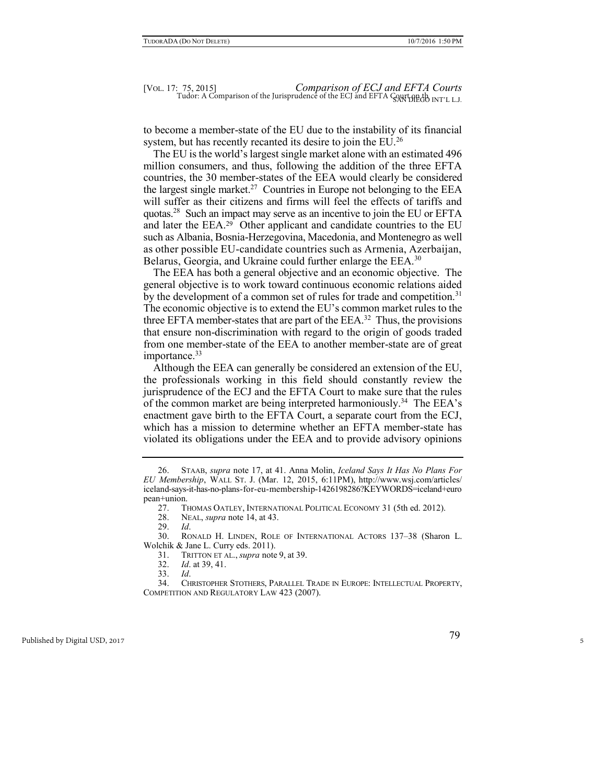to become a member-state of the EU due to the instability of its financial system, but has recently recanted its desire to join the EU.<sup>26</sup>

The EU is the world's largest single market alone with an estimated 496 million consumers, and thus, following the addition of the three EFTA countries, the 30 member-states of the EEA would clearly be considered the largest single market.<sup>27</sup> Countries in Europe not belonging to the EEA will suffer as their citizens and firms will feel the effects of tariffs and quotas.<sup>28</sup> Such an impact may serve as an incentive to join the EU or EFTA and later the EEA.29 Other applicant and candidate countries to the EU such as Albania, Bosnia-Herzegovina, Macedonia, and Montenegro as well as other possible EU-candidate countries such as Armenia, Azerbaijan, Belarus, Georgia, and Ukraine could further enlarge the EEA.<sup>30</sup>

The EEA has both a general objective and an economic objective. The general objective is to work toward continuous economic relations aided by the development of a common set of rules for trade and competition.<sup>31</sup> The economic objective is to extend the EU's common market rules to the three EFTA member-states that are part of the  $EEA$ <sup>32</sup>. Thus, the provisions that ensure non-discrimination with regard to the origin of goods traded from one member-state of the EEA to another member-state are of great importance.<sup>33</sup>

Although the EEA can generally be considered an extension of the EU, the professionals working in this field should constantly review the jurisprudence of the ECJ and the EFTA Court to make sure that the rules of the common market are being interpreted harmoniously.<sup>34</sup> The EEA's enactment gave birth to the EFTA Court, a separate court from the ECJ, which has a mission to determine whether an EFTA member-state has violated its obligations under the EEA and to provide advisory opinions

<sup>26.</sup> STAAB, *supra* note 17, at 41. Anna Molin, *Iceland Says It Has No Plans For EU Membership*, WALL ST. J. (Mar. 12, 2015, 6:11PM), http://www.wsj.com/articles/ iceland-says-it-has-no-plans-for-eu-membership-1426198286?KEYWORDS=iceland+euro pean+union.

<sup>27.</sup> THOMAS OATLEY, INTERNATIONAL POLITICAL ECONOMY 31 (5th ed. 2012).<br>28. Neal, *supra* note 14, at 43.

NEAL, *supra* note 14, at 43.

<sup>29.</sup> *Id*.

<sup>30.</sup> RONALD H. LINDEN, ROLE OF INTERNATIONAL ACTORS 137–38 (Sharon L. Wolchik & Jane L. Curry eds. 2011).

<sup>31.</sup> TRITTON ET AL., *supra* note 9, at 39.

<sup>32.</sup> *Id*. at 39, 41.

<sup>33.</sup> *Id*.

<sup>34.</sup> CHRISTOPHER STOTHERS, PARALLEL TRADE IN EUROPE: INTELLECTUAL PROPERTY, COMPETITION AND REGULATORY LAW 423 (2007).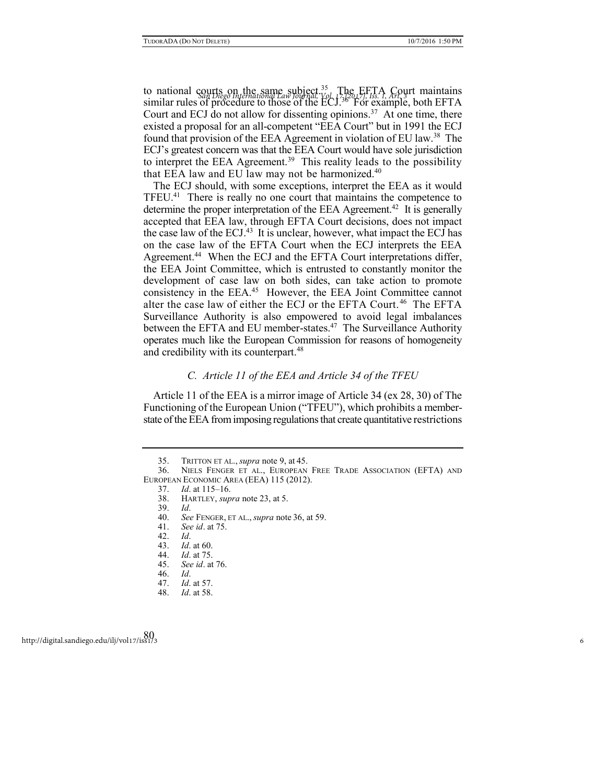to national courts on the same subject.<sup>35</sup> The EFTA Court maintains and *San Diego International Law Journal, Vol. 17 [2017]*, *Iss. 1, Art.* 3<sup>3</sup> 1, 41 *PFF* similar rules of procedure to those of the ECJ.<sup>36</sup> For example, both EFTA Court and ECJ do not allow for dissenting opinions.<sup>37</sup> At one time, there existed a proposal for an all-competent "EEA Court" but in 1991 the ECJ found that provision of the EEA Agreement in violation of EU law.<sup>38</sup> The ECJ's greatest concern was that the EEA Court would have sole jurisdiction to interpret the EEA Agreement.<sup>39</sup> This reality leads to the possibility that EEA law and EU law may not be harmonized. $40$ 

The ECJ should, with some exceptions, interpret the EEA as it would TFEU.<sup>41</sup> There is really no one court that maintains the competence to determine the proper interpretation of the EEA Agreement.<sup>42</sup> It is generally accepted that EEA law, through EFTA Court decisions, does not impact the case law of the ECJ. $43$  It is unclear, however, what impact the ECJ has on the case law of the EFTA Court when the ECJ interprets the EEA Agreement.<sup>44</sup> When the ECJ and the EFTA Court interpretations differ, the EEA Joint Committee, which is entrusted to constantly monitor the development of case law on both sides, can take action to promote consistency in the EEA.<sup>45</sup> However, the EEA Joint Committee cannot alter the case law of either the ECJ or the EFTA Court. <sup>46</sup> The EFTA Surveillance Authority is also empowered to avoid legal imbalances between the EFTA and EU member-states.<sup>47</sup> The Surveillance Authority operates much like the European Commission for reasons of homogeneity and credibility with its counterpart.<sup>48</sup>

# *C. Article 11 of the EEA and Article 34 of the TFEU*

Article 11 of the EEA is a mirror image of Article 34 (ex 28, 30) of The Functioning of the European Union ("TFEU"), which prohibits a memberstate of the EEA from imposing regulations that create quantitative restrictions

<sup>35.</sup> TRITTON ET AL., *supra* note 9, at 45.

<sup>36.</sup> NIELS FENGER ET AL., EUROPEAN FREE TRADE ASSOCIATION (EFTA) AND EUROPEAN ECONOMIC AREA (EEA) 115 (2012).

<sup>37.</sup> *Id*. at 115–16.

<sup>38.</sup> HARTLEY, *supra* note 23, at 5.

<sup>39.</sup> *Id*.

<sup>40.</sup> *See* FENGER, ET AL., *supra* note 36, at 59.

<sup>41.</sup> *See id*. at 75.

<sup>42.</sup> *Id*.

<sup>43.</sup> *Id*. at 60.

<sup>44.</sup> *Id*. at 75.

<sup>45.</sup> *See id*. at 76.

<sup>46.</sup> *Id*.

<sup>47.</sup> *Id*. at 57.

<sup>48.</sup> *Id*. at 58.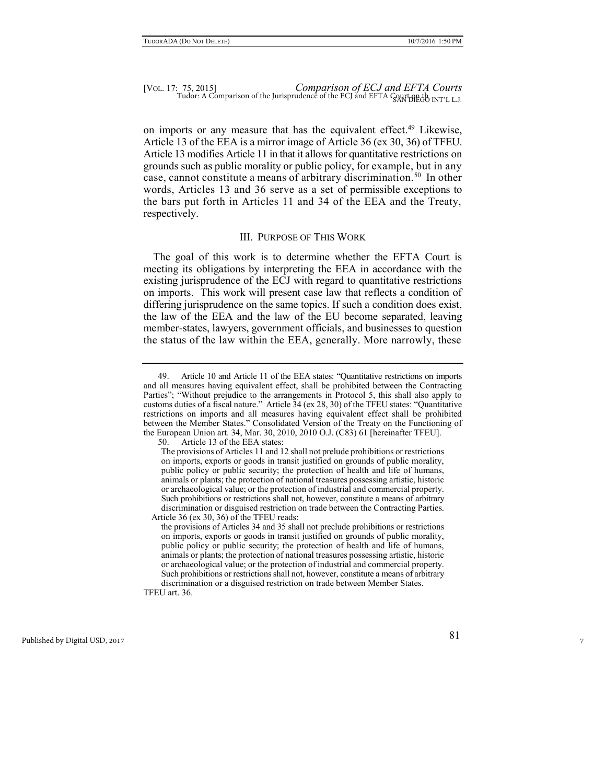## [VOL. 17: 75, 2015] *Comparison of ECJ and EFTA Courts*   $Tudor: A Comparison of the Jurisprudence of the ECJ and EFTA  $Qayt HEdo INT'LLJ$ .$

on imports or any measure that has the equivalent effect.<sup>49</sup> Likewise, Article 13 of the EEA is a mirror image of Article 36 (ex 30, 36) of TFEU. Article 13 modifies Article 11 in that it allows for quantitative restrictions on grounds such as public morality or public policy, for example, but in any case, cannot constitute a means of arbitrary discrimination.<sup>50</sup> In other words, Articles 13 and 36 serve as a set of permissible exceptions to the bars put forth in Articles 11 and 34 of the EEA and the Treaty, respectively.

#### III. PURPOSE OF THIS WORK

The goal of this work is to determine whether the EFTA Court is meeting its obligations by interpreting the EEA in accordance with the existing jurisprudence of the ECJ with regard to quantitative restrictions on imports. This work will present case law that reflects a condition of differing jurisprudence on the same topics. If such a condition does exist, the law of the EEA and the law of the EU become separated, leaving member-states, lawyers, government officials, and businesses to question the status of the law within the EEA, generally. More narrowly, these

TFEU art. 36.

<sup>49.</sup> Article 10 and Article 11 of the EEA states: "Quantitative restrictions on imports and all measures having equivalent effect, shall be prohibited between the Contracting Parties"; "Without prejudice to the arrangements in Protocol 5, this shall also apply to customs duties of a fiscal nature." Article 34 (ex 28, 30) of the TFEU states: "Quantitative restrictions on imports and all measures having equivalent effect shall be prohibited between the Member States." Consolidated Version of the Treaty on the Functioning of the European Union art. 34, Mar. 30, 2010, 2010 O.J. (C83) 61 [hereinafter TFEU].

<sup>50.</sup> Article 13 of the EEA states:

The provisions of Articles 11 and 12 shall not prelude prohibitions or restrictions on imports, exports or goods in transit justified on grounds of public morality, public policy or public security; the protection of health and life of humans, animals or plants; the protection of national treasures possessing artistic, historic or archaeological value; or the protection of industrial and commercial property. Such prohibitions or restrictions shall not, however, constitute a means of arbitrary discrimination or disguised restriction on trade between the Contracting Parties. Article 36 (ex 30, 36) of the TFEU reads:

the provisions of Articles 34 and 35 shall not preclude prohibitions or restrictions on imports, exports or goods in transit justified on grounds of public morality, public policy or public security; the protection of health and life of humans, animals or plants; the protection of national treasures possessing artistic, historic or archaeological value; or the protection of industrial and commercial property. Such prohibitions or restrictions shall not, however, constitute a means of arbitrary discrimination or a disguised restriction on trade between Member States.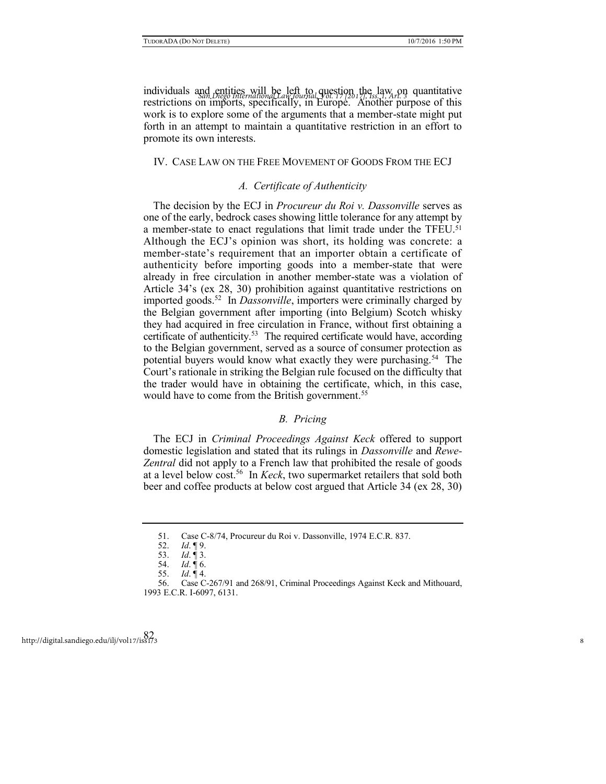individuals and entities will be left to question the law on quantitative individuals and entities will be left to question the law on quantitative restrictions on imports, specifically, in Europe. Another purpose of this work is to explore some of the arguments that a member-state might put forth in an attempt to maintain a quantitative restriction in an effort to promote its own interests.

#### IV. CASE LAW ON THE FREE MOVEMENT OF GOODS FROM THE ECJ

# *A. Certificate of Authenticity*

The decision by the ECJ in *Procureur du Roi v. Dassonville* serves as one of the early, bedrock cases showing little tolerance for any attempt by a member-state to enact regulations that limit trade under the TFEU.<sup>51</sup> Although the ECJ's opinion was short, its holding was concrete: a member-state's requirement that an importer obtain a certificate of authenticity before importing goods into a member-state that were already in free circulation in another member-state was a violation of Article 34's (ex 28, 30) prohibition against quantitative restrictions on imported goods.<sup>52</sup> In *Dassonville*, importers were criminally charged by the Belgian government after importing (into Belgium) Scotch whisky they had acquired in free circulation in France, without first obtaining a certificate of authenticity.<sup>53</sup> The required certificate would have, according to the Belgian government, served as a source of consumer protection as potential buyers would know what exactly they were purchasing.<sup>54</sup> The Court's rationale in striking the Belgian rule focused on the difficulty that the trader would have in obtaining the certificate, which, in this case, would have to come from the British government.<sup>55</sup>

# *B. Pricing*

The ECJ in *Criminal Proceedings Against Keck* offered to support domestic legislation and stated that its rulings in *Dassonville* and *Rewe-Zentral* did not apply to a French law that prohibited the resale of goods at a level below cost.<sup>56</sup> In *Keck*, two supermarket retailers that sold both beer and coffee products at below cost argued that Article 34 (ex 28, 30)

<sup>51.</sup> Case C-8/74, Procureur du Roi v. Dassonville, 1974 E.C.R. 837. Id. 19.

<sup>52.</sup> *Id*. ¶ 9.

<sup>53.</sup> *Id*. ¶ 3.

<sup>54.</sup> *Id*. ¶ 6.

<sup>55.</sup> *Id*. ¶ 4.

<sup>56.</sup> Case C-267/91 and 268/91, Criminal Proceedings Against Keck and Mithouard, 1993 E.C.R. I-6097, 6131.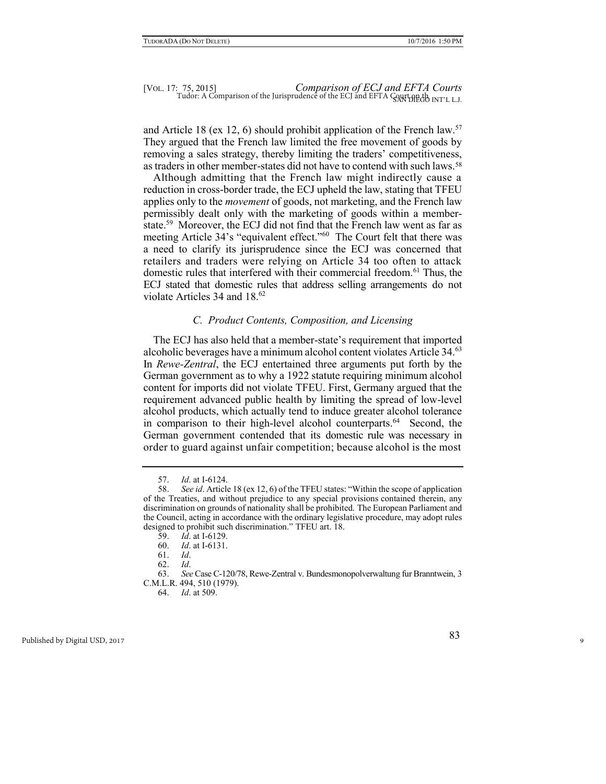and Article 18 (ex 12, 6) should prohibit application of the French law.<sup>57</sup> They argued that the French law limited the free movement of goods by removing a sales strategy, thereby limiting the traders' competitiveness, as traders in other member-states did not have to contend with such laws.<sup>58</sup>

Although admitting that the French law might indirectly cause a reduction in cross-border trade, the ECJ upheld the law, stating that TFEU applies only to the *movement* of goods, not marketing, and the French law permissibly dealt only with the marketing of goods within a memberstate.<sup>59</sup> Moreover, the ECJ did not find that the French law went as far as meeting Article 34's "equivalent effect."<sup>60</sup> The Court felt that there was a need to clarify its jurisprudence since the ECJ was concerned that retailers and traders were relying on Article 34 too often to attack domestic rules that interfered with their commercial freedom.<sup>61</sup> Thus, the ECJ stated that domestic rules that address selling arrangements do not violate Articles  $34$  and  $18^{62}$ 

# *C. Product Contents, Composition, and Licensing*

The ECJ has also held that a member-state's requirement that imported alcoholic beverages have a minimum alcohol content violates Article 34.<sup>63</sup> In *Rewe-Zentral*, the ECJ entertained three arguments put forth by the German government as to why a 1922 statute requiring minimum alcohol content for imports did not violate TFEU. First, Germany argued that the requirement advanced public health by limiting the spread of low-level alcohol products, which actually tend to induce greater alcohol tolerance in comparison to their high-level alcohol counterparts.<sup>64</sup> Second, the German government contended that its domestic rule was necessary in order to guard against unfair competition; because alcohol is the most

62. *Id*.

<sup>57.</sup> *Id*. at I-6124.

<sup>58.</sup> *See id*. Article 18 (ex 12, 6) of the TFEU states: "Within the scope of application of the Treaties, and without prejudice to any special provisions contained therein, any discrimination on grounds of nationality shall be prohibited. The European Parliament and the Council, acting in accordance with the ordinary legislative procedure, may adopt rules designed to prohibit such discrimination." TFEU art. 18.

<sup>59.</sup> *Id*. at I-6129.

<sup>60.</sup> *Id*. at I-6131.

<sup>61.</sup> *Id*.

<sup>63.</sup> *See* Case C-120/78, Rewe-Zentral v. Bundesmonopolverwaltung fur Branntwein, 3 C.M.L.R. 494, 510 (1979).

<sup>64.</sup> *Id*. at 509.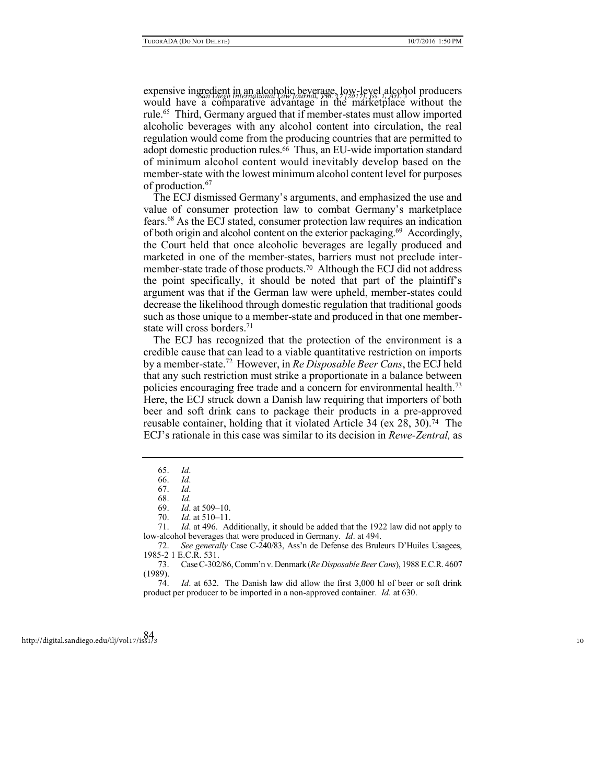expensive ingredient in an alcoholic beverage, low-level alcohol producers *San Diego International Law Journal, Vol. 17 [2017], Iss. 1, Art. 3* would have a comparative advantage in the marketplace without the rule.<sup>65</sup> Third, Germany argued that if member-states must allow imported alcoholic beverages with any alcohol content into circulation, the real regulation would come from the producing countries that are permitted to adopt domestic production rules.66 Thus, an EU-wide importation standard of minimum alcohol content would inevitably develop based on the member-state with the lowest minimum alcohol content level for purposes of production.<sup>67</sup>

The ECJ dismissed Germany's arguments, and emphasized the use and value of consumer protection law to combat Germany's marketplace fears.<sup>68</sup> As the ECJ stated, consumer protection law requires an indication of both origin and alcohol content on the exterior packaging.<sup>69</sup> Accordingly, the Court held that once alcoholic beverages are legally produced and marketed in one of the member-states, barriers must not preclude intermember-state trade of those products.70 Although the ECJ did not address the point specifically, it should be noted that part of the plaintiff's argument was that if the German law were upheld, member-states could decrease the likelihood through domestic regulation that traditional goods such as those unique to a member-state and produced in that one memberstate will cross borders.<sup>71</sup>

The ECJ has recognized that the protection of the environment is a credible cause that can lead to a viable quantitative restriction on imports by a member-state.<sup>72</sup> However, in *Re Disposable Beer Cans*, the ECJ held that any such restriction must strike a proportionate in a balance between policies encouraging free trade and a concern for environmental health.<sup>73</sup> Here, the ECJ struck down a Danish law requiring that importers of both beer and soft drink cans to package their products in a pre-approved reusable container, holding that it violated Article 34 (ex 28, 30).74 The ECJ's rationale in this case was similar to its decision in *Rewe-Zentral,* as

<sup>65.</sup> *Id*.

<sup>66.</sup> *Id*.

<sup>67.</sup> *Id*.

<sup>68.</sup> *Id*.

<sup>69.</sup> *Id*. at 509–10.

<sup>70.</sup> *Id*. at 510–11.

<sup>71.</sup> *Id*. at 496. Additionally, it should be added that the 1922 law did not apply to low-alcohol beverages that were produced in Germany. *Id*. at 494.

<sup>72.</sup> *See generally* Case C-240/83, Ass'n de Defense des Bruleurs D'Huiles Usagees, 1985-2 1 E.C.R. 531.

<sup>73.</sup> Case C-302/86, Comm'n v. Denmark (*Re Disposable Beer Cans*), 1988 E.C.R. 4607 (1989).

<sup>74.</sup> *Id*. at 632. The Danish law did allow the first 3,000 hl of beer or soft drink product per producer to be imported in a non-approved container. *Id*. at 630.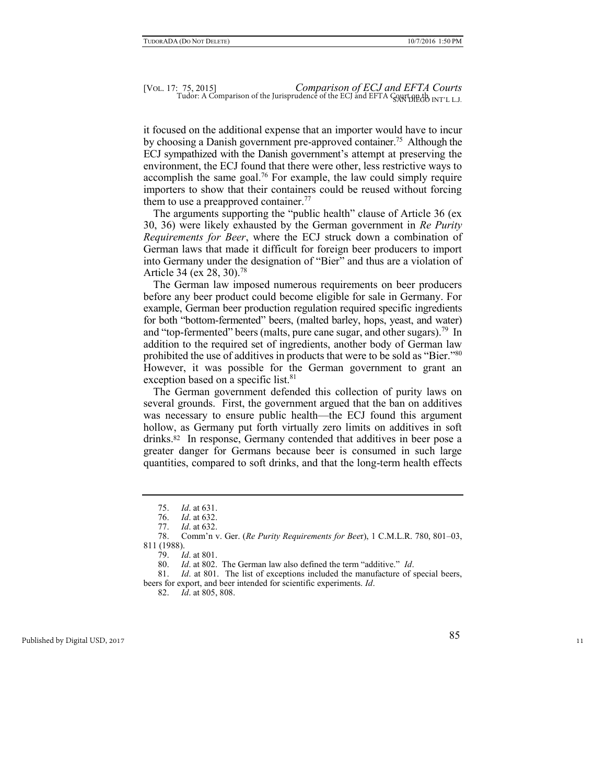it focused on the additional expense that an importer would have to incur by choosing a Danish government pre-approved container.<sup>75</sup> Although the ECJ sympathized with the Danish government's attempt at preserving the environment, the ECJ found that there were other, less restrictive ways to accomplish the same goal.<sup>76</sup> For example, the law could simply require importers to show that their containers could be reused without forcing them to use a preapproved container.<sup>77</sup>

The arguments supporting the "public health" clause of Article 36 (ex 30, 36) were likely exhausted by the German government in *Re Purity Requirements for Beer*, where the ECJ struck down a combination of German laws that made it difficult for foreign beer producers to import into Germany under the designation of "Bier" and thus are a violation of Article 34 (ex 28, 30).<sup>78</sup>

The German law imposed numerous requirements on beer producers before any beer product could become eligible for sale in Germany. For example, German beer production regulation required specific ingredients for both "bottom-fermented" beers, (malted barley, hops, yeast, and water) and "top-fermented" beers (malts, pure cane sugar, and other sugars).<sup>79</sup> In addition to the required set of ingredients, another body of German law prohibited the use of additives in products that were to be sold as "Bier."<sup>80</sup> However, it was possible for the German government to grant an exception based on a specific list.<sup>81</sup>

The German government defended this collection of purity laws on several grounds. First, the government argued that the ban on additives was necessary to ensure public health—the ECJ found this argument hollow, as Germany put forth virtually zero limits on additives in soft drinks.82 In response, Germany contended that additives in beer pose a greater danger for Germans because beer is consumed in such large quantities, compared to soft drinks, and that the long-term health effects

<sup>75.</sup> *Id*. at 631.

<sup>76.</sup> *Id*. at 632.

<sup>77.</sup> *Id*. at 632.

<sup>78.</sup> Comm'n v. Ger. (*Re Purity Requirements for Bee*r), 1 C.M.L.R. 780, 801–03, 811 (1988).

<sup>79.</sup> *Id*. at 801.

<sup>80.</sup> *Id*. at 802. The German law also defined the term "additive." *Id*.

<sup>81.</sup> *Id*. at 801. The list of exceptions included the manufacture of special beers, beers for export, and beer intended for scientific experiments. *Id*.

<sup>82.</sup> *Id*. at 805, 808.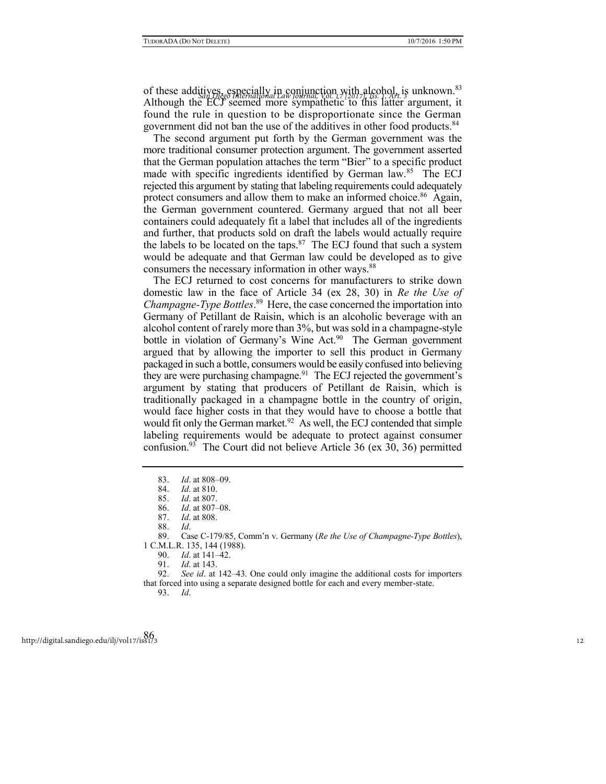of these additives, especially in conjunction with alcohol, is unknown.<sup>83</sup> Although the ECJ seemed more sympathetic to this latter argument, it found the rule in question to be disproportionate since the German government did not ban the use of the additives in other food products.<sup>84</sup>

The second argument put forth by the German government was the more traditional consumer protection argument. The government asserted that the German population attaches the term "Bier" to a specific product made with specific ingredients identified by German law.<sup>85</sup> The ECJ rejected this argument by stating that labeling requirements could adequately protect consumers and allow them to make an informed choice.<sup>86</sup> Again, the German government countered. Germany argued that not all beer containers could adequately fit a label that includes all of the ingredients and further, that products sold on draft the labels would actually require the labels to be located on the taps. $87$  The ECJ found that such a system would be adequate and that German law could be developed as to give consumers the necessary information in other ways.<sup>88</sup>

The ECJ returned to cost concerns for manufacturers to strike down domestic law in the face of Article 34 (ex 28, 30) in *Re the Use of Champagne-Type Bottles*. 89 Here, the case concerned the importation into Germany of Petillant de Raisin, which is an alcoholic beverage with an alcohol content of rarely more than 3%, but was sold in a champagne-style bottle in violation of Germany's Wine Act.<sup>90</sup> The German government argued that by allowing the importer to sell this product in Germany packaged in such a bottle, consumers would be easily confused into believing they are were purchasing champagne.<sup>91</sup> The ECJ rejected the government's argument by stating that producers of Petillant de Raisin, which is traditionally packaged in a champagne bottle in the country of origin, would face higher costs in that they would have to choose a bottle that would fit only the German market.<sup>92</sup> As well, the ECJ contended that simple labeling requirements would be adequate to protect against consumer confusion.<sup>93</sup> The Court did not believe Article 36 (ex 30, 36) permitted

91. *Id*. at 143.

<sup>83.</sup> *Id*. at 808–09.

<sup>84.</sup> *Id*. at 810.

<sup>85.</sup> *Id*. at 807.

<sup>86.</sup> *Id*. at 807–08.

*Id.* at 808.

<sup>88.</sup> *Id*.

<sup>89.</sup> Case C-179/85, Comm'n v. Germany (*Re the Use of Champagne-Type Bottles*), 1 C.M.L.R. 135, 144 (1988).

<sup>90.</sup> *Id*. at 141–42.

<sup>92.</sup> *See id*. at 142–43. One could only imagine the additional costs for importers that forced into using a separate designed bottle for each and every member-state.

<sup>93.</sup> *Id*.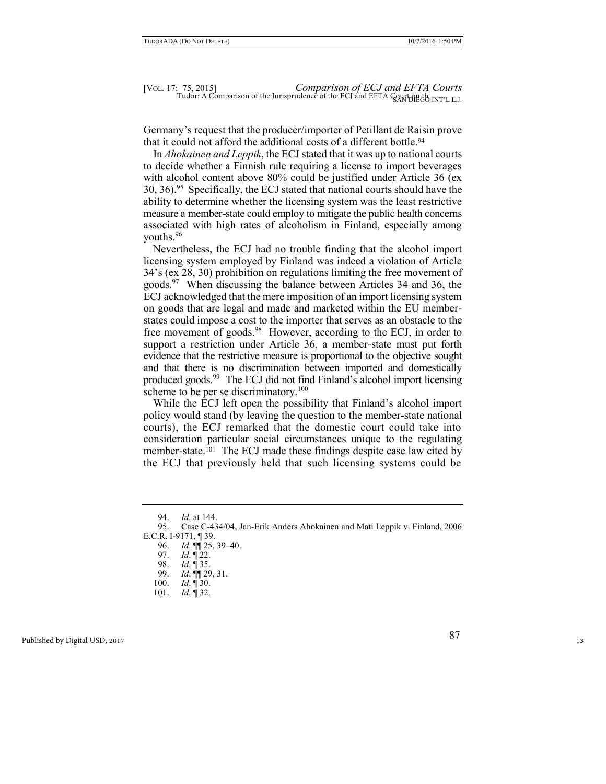Germany's request that the producer/importer of Petillant de Raisin prove that it could not afford the additional costs of a different bottle.<sup>94</sup>

In *Ahokainen and Leppik*, the ECJ stated that it was up to national courts to decide whether a Finnish rule requiring a license to import beverages with alcohol content above 80% could be justified under Article 36 (ex 30, 36).<sup>95</sup> Specifically, the ECJ stated that national courts should have the ability to determine whether the licensing system was the least restrictive measure a member-state could employ to mitigate the public health concerns associated with high rates of alcoholism in Finland, especially among youths.<sup>96</sup>

Nevertheless, the ECJ had no trouble finding that the alcohol import licensing system employed by Finland was indeed a violation of Article 34's (ex 28, 30) prohibition on regulations limiting the free movement of goods.<sup>97</sup> When discussing the balance between Articles 34 and 36, the ECJ acknowledged that the mere imposition of an import licensing system on goods that are legal and made and marketed within the EU memberstates could impose a cost to the importer that serves as an obstacle to the free movement of goods.<sup>98</sup> However, according to the ECJ, in order to support a restriction under Article 36, a member-state must put forth evidence that the restrictive measure is proportional to the objective sought and that there is no discrimination between imported and domestically produced goods.<sup>99</sup> The ECJ did not find Finland's alcohol import licensing scheme to be per se discriminatory.<sup>100</sup>

While the ECJ left open the possibility that Finland's alcohol import policy would stand (by leaving the question to the member-state national courts), the ECJ remarked that the domestic court could take into consideration particular social circumstances unique to the regulating member-state.<sup>101</sup> The ECJ made these findings despite case law cited by the ECJ that previously held that such licensing systems could be

<sup>94.</sup> *Id*. at 144.

<sup>95.</sup> Case C-434/04, Jan-Erik Anders Ahokainen and Mati Leppik v. Finland, 2006 E.C.R. I-9171, ¶ 39.

<sup>96.</sup> *Id*. ¶¶ 25, 39–40.

<sup>97.</sup> *Id*. ¶ 22.

<sup>98.</sup> *Id*. ¶ 35.

<sup>99.</sup> *Id*. ¶¶ 29, 31.

<sup>100.</sup> *Id*. ¶ 30.

<sup>101.</sup> *Id*. ¶ 32.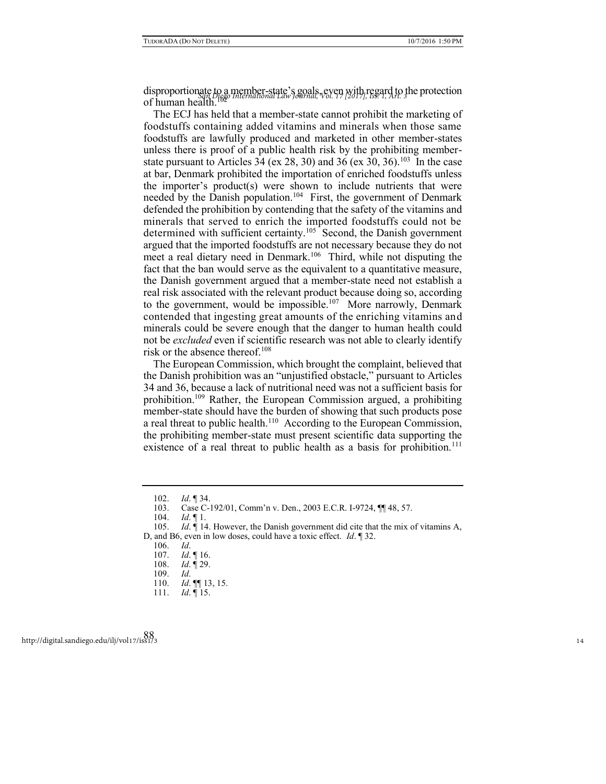disproportionate to a member-state's goals, even with regard to the protection *San Diego International Law Journal, Vol. 17 [2017], Iss. 1, Art. 3* of human health.<sup>1</sup>

The ECJ has held that a member-state cannot prohibit the marketing of foodstuffs containing added vitamins and minerals when those same foodstuffs are lawfully produced and marketed in other member-states unless there is proof of a public health risk by the prohibiting memberstate pursuant to Articles 34 (ex 28, 30) and 36 (ex 30, 36).<sup>103</sup> In the case at bar, Denmark prohibited the importation of enriched foodstuffs unless the importer's product(s) were shown to include nutrients that were needed by the Danish population.<sup>104</sup> First, the government of Denmark defended the prohibition by contending that the safety of the vitamins and minerals that served to enrich the imported foodstuffs could not be determined with sufficient certainty.<sup>105</sup> Second, the Danish government argued that the imported foodstuffs are not necessary because they do not meet a real dietary need in Denmark.<sup>106</sup> Third, while not disputing the fact that the ban would serve as the equivalent to a quantitative measure, the Danish government argued that a member-state need not establish a real risk associated with the relevant product because doing so, according to the government, would be impossible.<sup>107</sup> More narrowly, Denmark contended that ingesting great amounts of the enriching vitamins and minerals could be severe enough that the danger to human health could not be *excluded* even if scientific research was not able to clearly identify risk or the absence thereof.<sup>108</sup>

The European Commission, which brought the complaint, believed that the Danish prohibition was an "unjustified obstacle," pursuant to Articles 34 and 36, because a lack of nutritional need was not a sufficient basis for prohibition.<sup>109</sup> Rather, the European Commission argued, a prohibiting member-state should have the burden of showing that such products pose a real threat to public health.<sup>110</sup> According to the European Commission, the prohibiting member-state must present scientific data supporting the existence of a real threat to public health as a basis for prohibition.<sup>111</sup>

<sup>102.</sup> *Id*. ¶ 34.

<sup>103.</sup> Case C-192/01, Comm'n v. Den., 2003 E.C.R. I-9724,  $\P\P$  48, 57. 104. Id.  $\P$  1.

 $Id. \P 1.$ 

<sup>105.</sup> *Id*. ¶ 14. However, the Danish government did cite that the mix of vitamins A, D, and B6, even in low doses, could have a toxic effect. *Id*. ¶ 32.

<sup>106.</sup> *Id*.

<sup>107.</sup> *Id*. ¶ 16.

<sup>108.</sup> *Id*. ¶ 29.

<sup>109.</sup> *Id*.

<sup>110.</sup> *Id*. ¶¶ 13, 15.

<sup>111.</sup> *Id*. ¶ 15.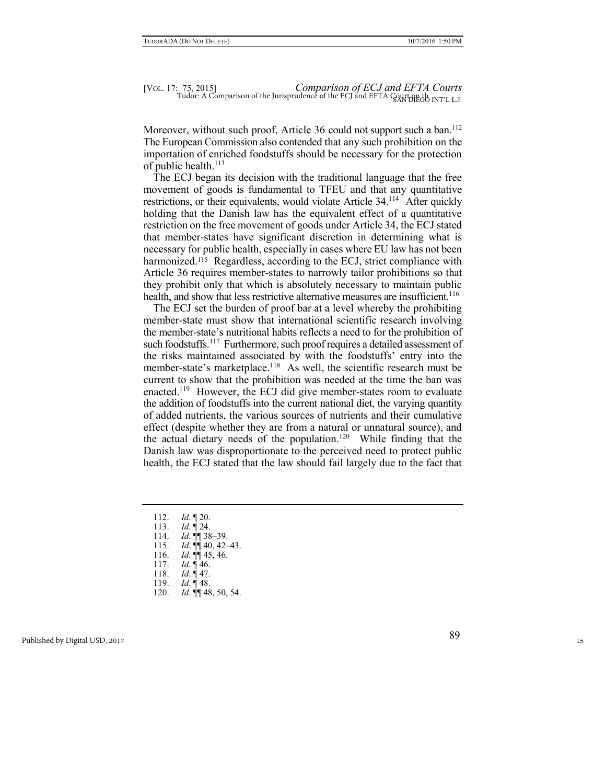Moreover, without such proof, Article 36 could not support such a ban.<sup>112</sup> The European Commission also contended that any such prohibition on the importation of enriched foodstuffs should be necessary for the protection of public health.<sup>113</sup>

The ECJ began its decision with the traditional language that the free movement of goods is fundamental to TFEU and that any quantitative restrictions, or their equivalents, would violate Article 34.<sup>114</sup> After quickly holding that the Danish law has the equivalent effect of a quantitative restriction on the free movement of goods under Article 34, the ECJ stated that member-states have significant discretion in determining what is necessary for public health, especially in cases where EU law has not been harmonized.<sup>115</sup> Regardless, according to the ECJ, strict compliance with Article 36 requires member-states to narrowly tailor prohibitions so that they prohibit only that which is absolutely necessary to maintain public health, and show that less restrictive alternative measures are insufficient.<sup>116</sup>

The ECJ set the burden of proof bar at a level whereby the prohibiting member-state must show that international scientific research involving the member-state's nutritional habits reflects a need to for the prohibition of such foodstuffs.<sup>117</sup> Furthermore, such proof requires a detailed assessment of the risks maintained associated by with the foodstuffs' entry into the member-state's marketplace.<sup>118</sup> As well, the scientific research must be current to show that the prohibition was needed at the time the ban was enacted.<sup>119</sup> However, the ECJ did give member-states room to evaluate the addition of foodstuffs into the current national diet, the varying quantity of added nutrients, the various sources of nutrients and their cumulative effect (despite whether they are from a natural or unnatural source), and the actual dietary needs of the population.<sup>120</sup> While finding that the Danish law was disproportionate to the perceived need to protect public health, the ECJ stated that the law should fail largely due to the fact that

- 112. *Id*. ¶ 20.
- 113. *Id*. ¶ 24.
- 114. *Id*. ¶¶ 38–39.
- 115. *Id*. ¶¶ 40, 42–43.
- 116. *Id*. ¶¶ 45, 46.
- 117. *Id.* 146.<br>118. *Id.* 147.
- *Id.* 147.
- 119. *Id*. ¶ 48.
- 120. *Id*. ¶¶ 48, 50, 54.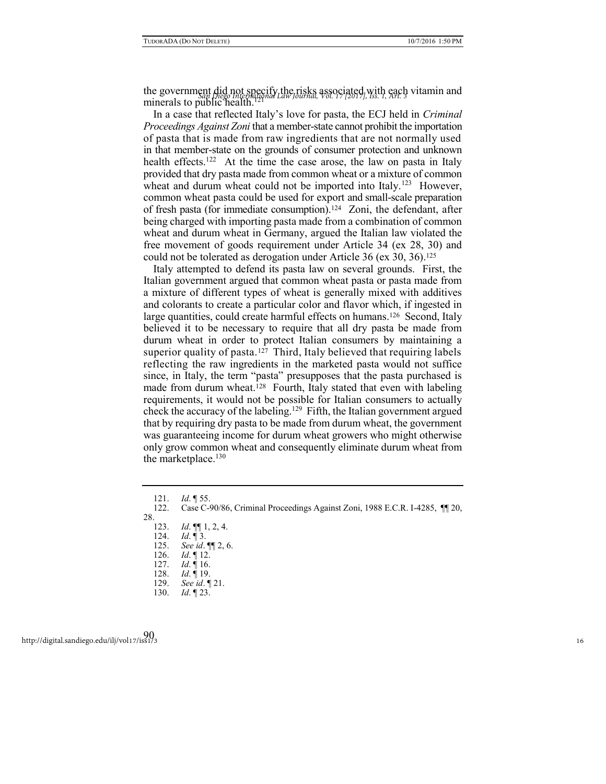the government did not specify the risks associated, with each vitamin and the government did not specify the risks associated, with each vitamin and minerals to public health.<sup>12</sup>

In a case that reflected Italy's love for pasta, the ECJ held in *Criminal Proceedings Against Zoni* that a member-state cannot prohibit the importation of pasta that is made from raw ingredients that are not normally used in that member-state on the grounds of consumer protection and unknown health effects.<sup>122</sup> At the time the case arose, the law on pasta in Italy provided that dry pasta made from common wheat or a mixture of common wheat and durum wheat could not be imported into Italy.<sup>123</sup> However, common wheat pasta could be used for export and small-scale preparation of fresh pasta (for immediate consumption).<sup>124</sup> Zoni, the defendant, after being charged with importing pasta made from a combination of common wheat and durum wheat in Germany, argued the Italian law violated the free movement of goods requirement under Article 34 (ex 28, 30) and could not be tolerated as derogation under Article 36 (ex 30, 36).<sup>125</sup>

Italy attempted to defend its pasta law on several grounds. First, the Italian government argued that common wheat pasta or pasta made from a mixture of different types of wheat is generally mixed with additives and colorants to create a particular color and flavor which, if ingested in large quantities, could create harmful effects on humans.<sup>126</sup> Second, Italy believed it to be necessary to require that all dry pasta be made from durum wheat in order to protect Italian consumers by maintaining a superior quality of pasta.<sup>127</sup> Third, Italy believed that requiring labels reflecting the raw ingredients in the marketed pasta would not suffice since, in Italy, the term "pasta" presupposes that the pasta purchased is made from durum wheat.<sup>128</sup> Fourth, Italy stated that even with labeling requirements, it would not be possible for Italian consumers to actually check the accuracy of the labeling.<sup>129</sup> Fifth, the Italian government argued that by requiring dry pasta to be made from durum wheat, the government was guaranteeing income for durum wheat growers who might otherwise only grow common wheat and consequently eliminate durum wheat from the marketplace. $130$ 

- 126. *Id*. ¶ 12.
- 127. *Id*. ¶ 16. *Id.* 19.
- 129. *See id*. ¶ 21.
- 130. *Id*. ¶ 23.

<sup>121.</sup> *Id*. ¶ 55.

<sup>122.</sup> Case C-90/86, Criminal Proceedings Against Zoni, 1988 E.C.R. I-4285, ¶¶ 20, 28.

<sup>123.</sup> *Id*. ¶¶ 1, 2, 4.

<sup>124.</sup> *Id.* 13.<br>125. *See id.* 

<sup>125.</sup> *See id*. ¶¶ 2, 6.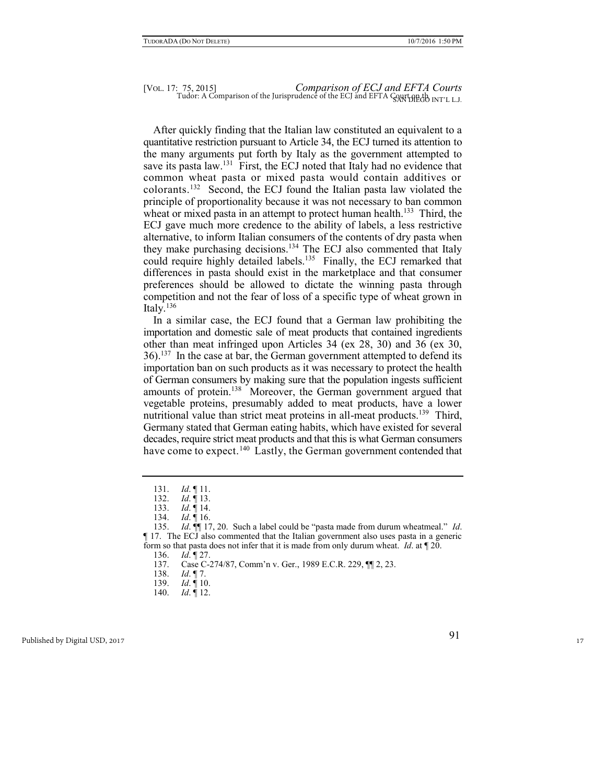# [VOL. 17: 75, 2015] *Comparison of ECJ and EFTA Courts*   $Tudor: A Comparison of the Jurisprudence of the ECJ and EFTA  $Qayt HEdo INT'LLJ$ .$

After quickly finding that the Italian law constituted an equivalent to a quantitative restriction pursuant to Article 34, the ECJ turned its attention to the many arguments put forth by Italy as the government attempted to save its pasta law.<sup>131</sup> First, the ECJ noted that Italy had no evidence that common wheat pasta or mixed pasta would contain additives or colorants.<sup>132</sup> Second, the ECJ found the Italian pasta law violated the principle of proportionality because it was not necessary to ban common wheat or mixed pasta in an attempt to protect human health.<sup>133</sup> Third, the ECJ gave much more credence to the ability of labels, a less restrictive alternative, to inform Italian consumers of the contents of dry pasta when they make purchasing decisions.<sup>134</sup> The ECJ also commented that Italy could require highly detailed labels.<sup>135</sup> Finally, the ECJ remarked that differences in pasta should exist in the marketplace and that consumer preferences should be allowed to dictate the winning pasta through competition and not the fear of loss of a specific type of wheat grown in Italy $\hat{N}$ <sup>136</sup>

In a similar case, the ECJ found that a German law prohibiting the importation and domestic sale of meat products that contained ingredients other than meat infringed upon Articles 34 (ex 28, 30) and 36 (ex 30, 36).<sup>137</sup> In the case at bar, the German government attempted to defend its importation ban on such products as it was necessary to protect the health of German consumers by making sure that the population ingests sufficient amounts of protein.<sup>138</sup> Moreover, the German government argued that vegetable proteins, presumably added to meat products, have a lower nutritional value than strict meat proteins in all-meat products.<sup>139</sup> Third, Germany stated that German eating habits, which have existed for several decades, require strict meat products and that this is what German consumers have come to expect.<sup>140</sup> Lastly, the German government contended that

136. *Id*. ¶ 27.

<sup>131.</sup> *Id*. ¶ 11.

<sup>132.</sup> *Id*. ¶ 13.

<sup>133.</sup> *Id*. ¶ 14. 134. *Id*. ¶ 16.

<sup>135.</sup> *Id*. ¶¶ 17, 20. Such a label could be "pasta made from durum wheatmeal." *Id*. ¶ 17. The ECJ also commented that the Italian government also uses pasta in a generic form so that pasta does not infer that it is made from only durum wheat. *Id*. at ¶ 20.

<sup>137.</sup> Case C-274/87, Comm'n v. Ger., 1989 E.C.R. 229, ¶¶ 2, 23.

<sup>138.</sup> *Id*. ¶ 7.

<sup>139.</sup> *Id*. ¶ 10.

<sup>140.</sup> *Id*. ¶ 12.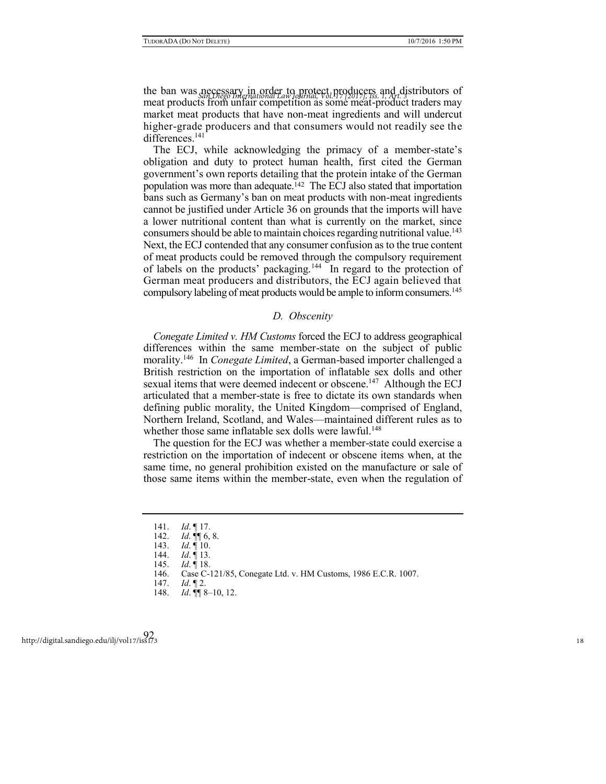the ban was necessary in order to protect producers and distributors of *San Diego International Law Journal, Vol. 17 [2017], Iss. 1, Art. 3* meat products from unfair competition as some meat-product traders may market meat products that have non-meat ingredients and will undercut higher-grade producers and that consumers would not readily see the differences.<sup>141</sup>

The ECJ, while acknowledging the primacy of a member-state's obligation and duty to protect human health, first cited the German government's own reports detailing that the protein intake of the German population was more than adequate.142 The ECJ also stated that importation bans such as Germany's ban on meat products with non-meat ingredients cannot be justified under Article 36 on grounds that the imports will have a lower nutritional content than what is currently on the market, since consumers should be able to maintain choices regarding nutritional value.<sup>143</sup> Next, the ECJ contended that any consumer confusion as to the true content of meat products could be removed through the compulsory requirement of labels on the products' packaging.<sup>144</sup> In regard to the protection of German meat producers and distributors, the ECJ again believed that compulsory labeling of meat products would be ample to inform consumers.<sup>145</sup>

## *D. Obscenity*

*Conegate Limited v. HM Customs* forced the ECJ to address geographical differences within the same member-state on the subject of public morality.<sup>146</sup> In *Conegate Limited*, a German-based importer challenged a British restriction on the importation of inflatable sex dolls and other sexual items that were deemed indecent or obscene.<sup>147</sup> Although the ECJ articulated that a member-state is free to dictate its own standards when defining public morality, the United Kingdom—comprised of England, Northern Ireland, Scotland, and Wales—maintained different rules as to whether those same inflatable sex dolls were lawful.<sup>148</sup>

The question for the ECJ was whether a member-state could exercise a restriction on the importation of indecent or obscene items when, at the same time, no general prohibition existed on the manufacture or sale of those same items within the member-state, even when the regulation of

<sup>141.</sup> *Id*. ¶ 17.

<sup>142.</sup> *Id*. ¶¶ 6, 8.

<sup>143.</sup> *Id*. ¶ 10.

<sup>144.</sup> *Id*. ¶ 13.

<sup>145.</sup> *Id*. ¶ 18.

<sup>146.</sup> Case C-121/85, Conegate Ltd. v. HM Customs, 1986 E.C.R. 1007.

<sup>147.</sup> *Id*. ¶ 2.

<sup>148.</sup> *Id*. ¶¶ 8–10, 12.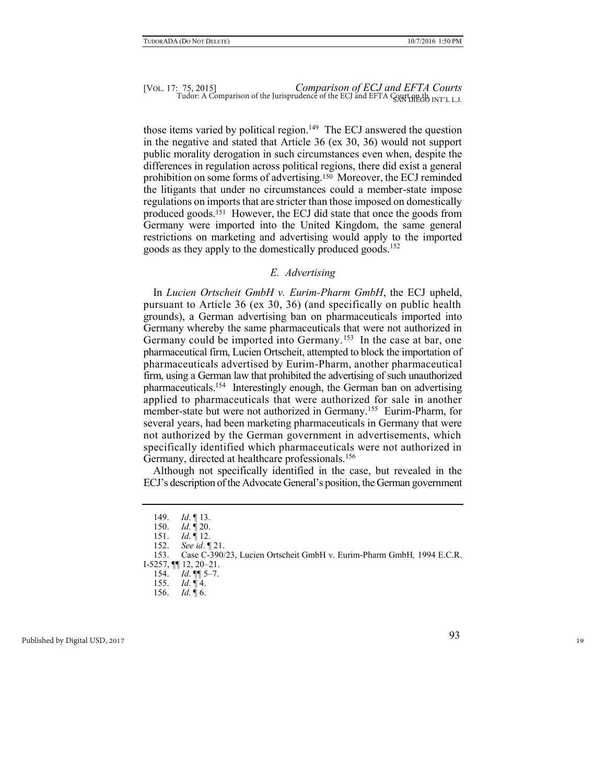those items varied by political region.<sup>149</sup> The ECJ answered the question in the negative and stated that Article 36 (ex 30, 36) would not support public morality derogation in such circumstances even when, despite the differences in regulation across political regions, there did exist a general prohibition on some forms of advertising.150 Moreover, the ECJ reminded the litigants that under no circumstances could a member-state impose regulations on imports that are stricter than those imposed on domestically produced goods.151 However, the ECJ did state that once the goods from Germany were imported into the United Kingdom, the same general restrictions on marketing and advertising would apply to the imported goods as they apply to the domestically produced goods.<sup>152</sup>

# *E. Advertising*

In *Lucien Ortscheit GmbH v. Eurim-Pharm GmbH*, the ECJ upheld, pursuant to Article 36 (ex 30, 36) (and specifically on public health grounds), a German advertising ban on pharmaceuticals imported into Germany whereby the same pharmaceuticals that were not authorized in Germany could be imported into Germany.<sup>153</sup> In the case at bar, one pharmaceutical firm, Lucien Ortscheit, attempted to block the importation of pharmaceuticals advertised by Eurim-Pharm, another pharmaceutical firm, using a German law that prohibited the advertising of such unauthorized pharmaceuticals.<sup>154</sup> Interestingly enough, the German ban on advertising applied to pharmaceuticals that were authorized for sale in another member-state but were not authorized in Germany.<sup>155</sup> Eurim-Pharm, for several years, had been marketing pharmaceuticals in Germany that were not authorized by the German government in advertisements, which specifically identified which pharmaceuticals were not authorized in Germany, directed at healthcare professionals.<sup>156</sup>

Although not specifically identified in the case, but revealed in the ECJ's description of the Advocate General's position, the German government

<sup>149.</sup> *Id*. ¶ 13.

<sup>150.</sup> *Id*. ¶ 20.

<sup>151.</sup> *Id*. ¶ 12.

<sup>152.</sup> *See id*. ¶ 21.

<sup>153.</sup> Case C-390/23, Lucien Ortscheit GmbH v. Eurim-Pharm GmbH*,* 1994 E.C.R. I-5257, ¶¶ 12, 20–21.

<sup>154.</sup> *Id*. ¶¶ 5–7.

<sup>155.</sup> *Id*. ¶ 4.

<sup>156.</sup> *Id*. ¶ 6.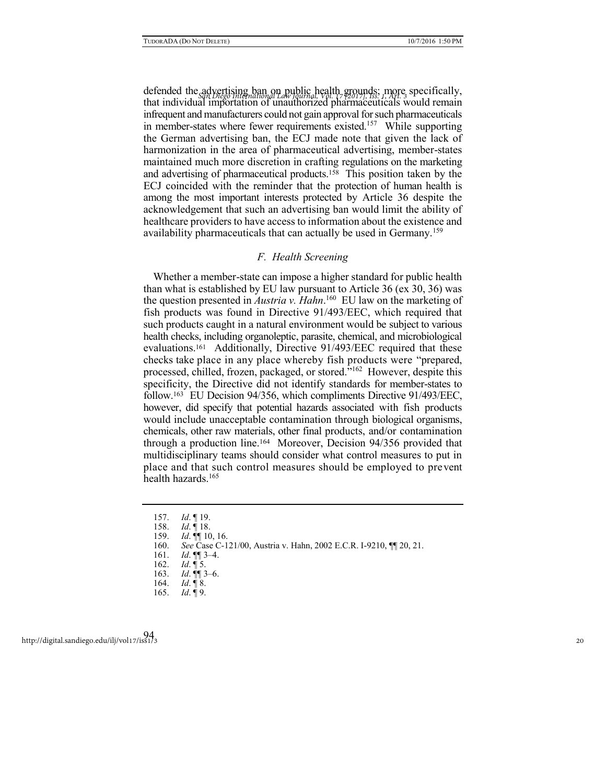defended the advertising ban on public health grounds; more specifically, *San Diego International Law Journal, Vol. 17 [2017], Iss. 1, Art. 3* that individual importation of unauthorized pharmaceuticals would remain infrequent and manufacturers could not gain approval for such pharmaceuticals in member-states where fewer requirements existed.<sup>157</sup> While supporting the German advertising ban, the ECJ made note that given the lack of harmonization in the area of pharmaceutical advertising, member-states maintained much more discretion in crafting regulations on the marketing and advertising of pharmaceutical products.158 This position taken by the ECJ coincided with the reminder that the protection of human health is among the most important interests protected by Article 36 despite the acknowledgement that such an advertising ban would limit the ability of healthcare providers to have access to information about the existence and availability pharmaceuticals that can actually be used in Germany.<sup>159</sup>

## *F. Health Screening*

Whether a member-state can impose a higher standard for public health than what is established by EU law pursuant to Article 36 (ex 30, 36) was the question presented in *Austria v. Hahn*. 160 EU law on the marketing of fish products was found in Directive 91/493/EEC, which required that such products caught in a natural environment would be subject to various health checks, including organoleptic, parasite, chemical, and microbiological evaluations.161 Additionally, Directive 91/493/EEC required that these checks take place in any place whereby fish products were "prepared, processed, chilled, frozen, packaged, or stored."<sup>162</sup> However, despite this specificity, the Directive did not identify standards for member-states to follow.163 EU Decision 94/356, which compliments Directive 91/493/EEC, however, did specify that potential hazards associated with fish products would include unacceptable contamination through biological organisms, chemicals, other raw materials, other final products, and/or contamination through a production line.164 Moreover, Decision 94/356 provided that multidisciplinary teams should consider what control measures to put in place and that such control measures should be employed to prevent health hazards.<sup>165</sup>

<sup>157.</sup> *Id*. ¶ 19.

<sup>158.</sup> *Id*. ¶ 18.

<sup>159.</sup> *Id*. ¶¶ 10, 16.

<sup>160.</sup> *See* Case C-121/00, Austria v. Hahn, 2002 E.C.R. I-9210, ¶¶ 20, 21.

<sup>161.</sup> *Id*. ¶¶ 3–4.

<sup>162.</sup> *Id*. ¶ 5.

<sup>163.</sup> *Id*. ¶¶ 3–6.

<sup>164.</sup> *Id*. ¶ 8.

<sup>165.</sup> *Id*. ¶ 9.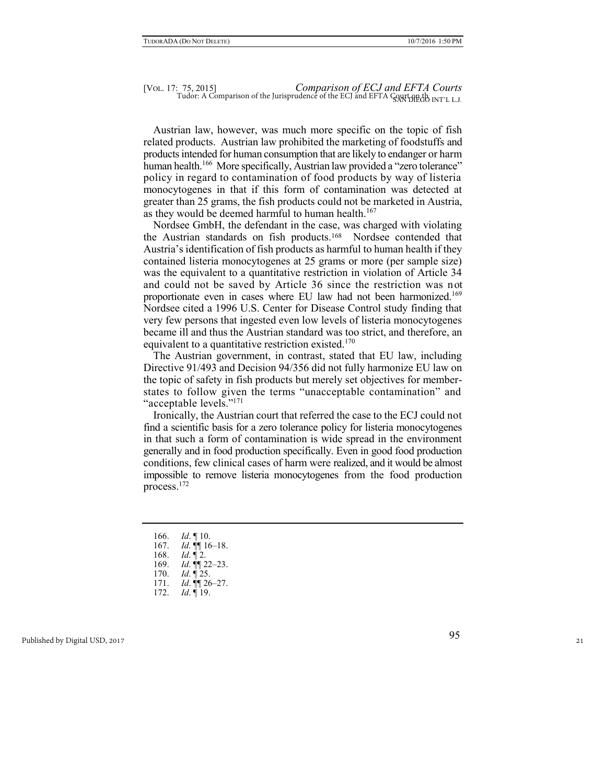Austrian law, however, was much more specific on the topic of fish related products. Austrian law prohibited the marketing of foodstuffs and products intended for human consumption that are likely to endanger or harm human health.<sup>166</sup> More specifically, Austrian law provided a "zero tolerance" policy in regard to contamination of food products by way of listeria monocytogenes in that if this form of contamination was detected at greater than 25 grams, the fish products could not be marketed in Austria, as they would be deemed harmful to human health.<sup>167</sup>

Nordsee GmbH, the defendant in the case, was charged with violating the Austrian standards on fish products.168 Nordsee contended that Austria's identification of fish products as harmful to human health if they contained listeria monocytogenes at 25 grams or more (per sample size) was the equivalent to a quantitative restriction in violation of Article 34 and could not be saved by Article 36 since the restriction was not proportionate even in cases where EU law had not been harmonized.<sup>169</sup> Nordsee cited a 1996 U.S. Center for Disease Control study finding that very few persons that ingested even low levels of listeria monocytogenes became ill and thus the Austrian standard was too strict, and therefore, an equivalent to a quantitative restriction existed.<sup>170</sup>

The Austrian government, in contrast, stated that EU law, including Directive 91/493 and Decision 94/356 did not fully harmonize EU law on the topic of safety in fish products but merely set objectives for memberstates to follow given the terms "unacceptable contamination" and "acceptable levels."<sup>171</sup>

Ironically, the Austrian court that referred the case to the ECJ could not find a scientific basis for a zero tolerance policy for listeria monocytogenes in that such a form of contamination is wide spread in the environment generally and in food production specifically. Even in good food production conditions, few clinical cases of harm were realized, and it would be almost impossible to remove listeria monocytogenes from the food production process.<sup>172</sup>

- 166. *Id*. ¶ 10.
- 167. *Id*. ¶¶ 16–18.
- 168. *Id*. ¶ 2.
- 169. *Id*. ¶¶ 22–23.
- 170. *Id*. ¶ 25.
- 171. *Id*. ¶¶ 26–27.
- 172. *Id*. ¶ 19.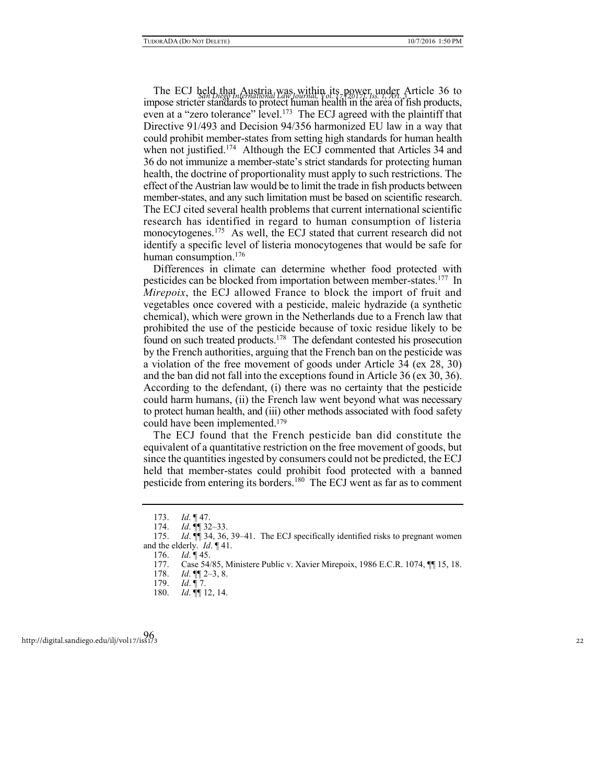The ECJ held that Austria was within its power under Article 36 to I he ECJ **San Diego International Law Journal, Vol. 17 P20121, Iss. 1, Art. 3311C1e 30 to**<br>impose stricter standards to protect human health in the area of fish products, even at a "zero tolerance" level.<sup>173</sup> The ECJ agreed with the plaintiff that Directive 91/493 and Decision 94/356 harmonized EU law in a way that could prohibit member-states from setting high standards for human health when not justified.<sup>174</sup> Although the ECJ commented that Articles 34 and 36 do not immunize a member-state's strict standards for protecting human health, the doctrine of proportionality must apply to such restrictions. The effect of the Austrian law would be to limit the trade in fish products between member-states, and any such limitation must be based on scientific research. The ECJ cited several health problems that current international scientific research has identified in regard to human consumption of listeria monocytogenes.<sup>175</sup> As well, the ECJ stated that current research did not identify a specific level of listeria monocytogenes that would be safe for human consumption.<sup>176</sup>

Differences in climate can determine whether food protected with pesticides can be blocked from importation between member-states.<sup>177</sup> In *Mirepoix*, the ECJ allowed France to block the import of fruit and vegetables once covered with a pesticide, maleic hydrazide (a synthetic chemical), which were grown in the Netherlands due to a French law that prohibited the use of the pesticide because of toxic residue likely to be found on such treated products.<sup>178</sup> The defendant contested his prosecution by the French authorities, arguing that the French ban on the pesticide was a violation of the free movement of goods under Article 34 (ex 28, 30) and the ban did not fall into the exceptions found in Article 36 (ex 30, 36). According to the defendant, (i) there was no certainty that the pesticide could harm humans, (ii) the French law went beyond what was necessary to protect human health, and (iii) other methods associated with food safety could have been implemented.<sup>179</sup>

The ECJ found that the French pesticide ban did constitute the equivalent of a quantitative restriction on the free movement of goods, but since the quantities ingested by consumers could not be predicted, the ECJ held that member-states could prohibit food protected with a banned pesticide from entering its borders.<sup>180</sup> The ECJ went as far as to comment

<sup>173.</sup> *Id*. ¶ 47.

<sup>174.</sup> *Id*. ¶¶ 32–33.

<sup>175.</sup> *Id*. ¶¶ 34, 36, 39–41. The ECJ specifically identified risks to pregnant women and the elderly. *Id*. ¶ 41.

<sup>176.</sup> *Id*. ¶ 45.

<sup>177.</sup> Case 54/85, Ministere Public v. Xavier Mirepoix, 1986 E.C.R. 1074, ¶¶ 15, 18.

<sup>178.</sup> *Id*. ¶¶ 2–3, 8.

<sup>179.</sup> *Id*. ¶ 7.

<sup>180.</sup> *Id*. ¶¶ 12, 14.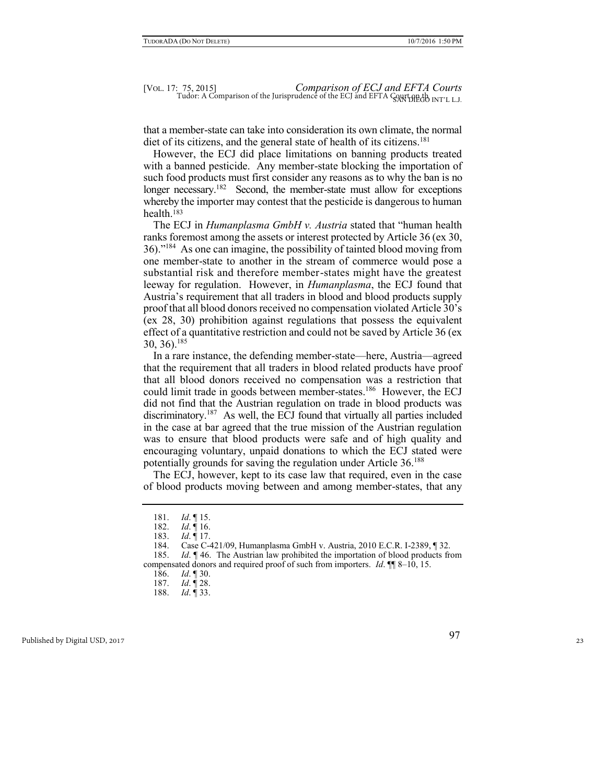that a member-state can take into consideration its own climate, the normal diet of its citizens, and the general state of health of its citizens.<sup>181</sup>

However, the ECJ did place limitations on banning products treated with a banned pesticide. Any member-state blocking the importation of such food products must first consider any reasons as to why the ban is no longer necessary.<sup>182</sup> Second, the member-state must allow for exceptions whereby the importer may contest that the pesticide is dangerous to human health.<sup>183</sup>

The ECJ in *Humanplasma GmbH v. Austria* stated that "human health ranks foremost among the assets or interest protected by Article 36 (ex 30, 36)."<sup>184</sup> As one can imagine, the possibility of tainted blood moving from one member-state to another in the stream of commerce would pose a substantial risk and therefore member-states might have the greatest leeway for regulation. However, in *Humanplasma*, the ECJ found that Austria's requirement that all traders in blood and blood products supply proof that all blood donors received no compensation violated Article 30's (ex 28, 30) prohibition against regulations that possess the equivalent effect of a quantitative restriction and could not be saved by Article 36 (ex 30, 36).<sup>185</sup>

In a rare instance, the defending member-state—here, Austria—agreed that the requirement that all traders in blood related products have proof that all blood donors received no compensation was a restriction that could limit trade in goods between member-states.<sup>186</sup> However, the ECJ did not find that the Austrian regulation on trade in blood products was discriminatory.<sup>187</sup> As well, the ECJ found that virtually all parties included in the case at bar agreed that the true mission of the Austrian regulation was to ensure that blood products were safe and of high quality and encouraging voluntary, unpaid donations to which the ECJ stated were potentially grounds for saving the regulation under Article 36.<sup>188</sup>

The ECJ, however, kept to its case law that required, even in the case of blood products moving between and among member-states, that any

185. *Id*. ¶ 46. The Austrian law prohibited the importation of blood products from compensated donors and required proof of such from importers. *Id*. ¶¶ 8–10, 15.

186. *Id*. ¶ 30.

188. *Id*. ¶ 33.

<sup>181.</sup> *Id*. ¶ 15.

<sup>182.</sup> *Id*. ¶ 16.

<sup>183.</sup> *Id*. ¶ 17.

<sup>184.</sup> Case C-421/09, Humanplasma GmbH v. Austria, 2010 E.C.R. I-2389, ¶ 32.

<sup>187.</sup> *Id*. ¶ 28.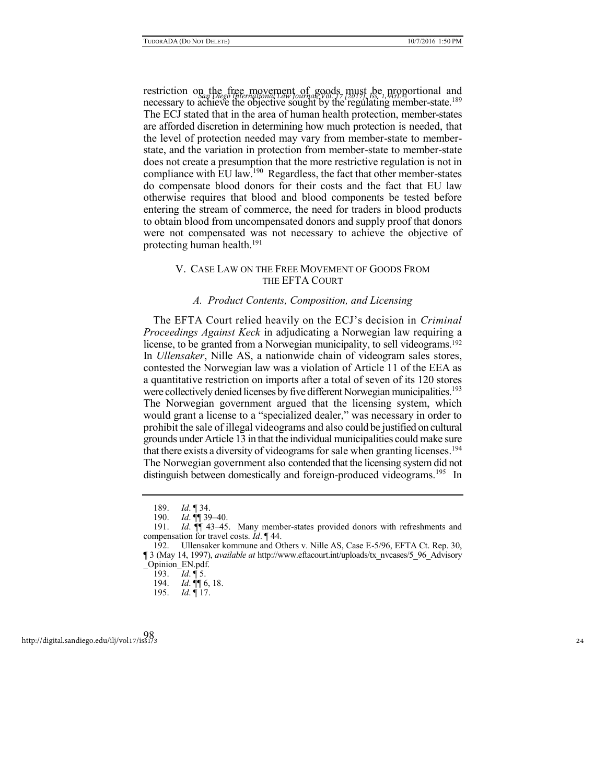restriction on the free movement of goods must be proportional and *San Diego International Law Journal, Vol. 17 [2017], Iss. 1, Art. 3* necessary to achieve the objective sought by the regulating member-state.<sup>189</sup> The ECJ stated that in the area of human health protection, member-states are afforded discretion in determining how much protection is needed, that the level of protection needed may vary from member-state to memberstate, and the variation in protection from member-state to member-state does not create a presumption that the more restrictive regulation is not in compliance with EU law.<sup>190</sup> Regardless, the fact that other member-states do compensate blood donors for their costs and the fact that EU law otherwise requires that blood and blood components be tested before entering the stream of commerce, the need for traders in blood products to obtain blood from uncompensated donors and supply proof that donors were not compensated was not necessary to achieve the objective of protecting human health.<sup>191</sup>

# V. CASE LAW ON THE FREE MOVEMENT OF GOODS FROM THE EFTA COURT

#### *A. Product Contents, Composition, and Licensing*

The EFTA Court relied heavily on the ECJ's decision in *Criminal Proceedings Against Keck* in adjudicating a Norwegian law requiring a license, to be granted from a Norwegian municipality, to sell videograms.<sup>192</sup> In *Ullensaker*, Nille AS, a nationwide chain of videogram sales stores, contested the Norwegian law was a violation of Article 11 of the EEA as a quantitative restriction on imports after a total of seven of its 120 stores were collectively denied licenses by five different Norwegian municipalities.<sup>193</sup> The Norwegian government argued that the licensing system, which would grant a license to a "specialized dealer," was necessary in order to prohibit the sale of illegal videograms and also could be justified on cultural grounds under Article 13 in that the individual municipalities could make sure that there exists a diversity of videograms for sale when granting licenses.<sup>194</sup> The Norwegian government also contended that the licensing system did not distinguish between domestically and foreign-produced videograms.<sup>195</sup> In

<sup>189.</sup> *Id*. ¶ 34.

<sup>190.</sup> *Id*. ¶¶ 39–40.

<sup>191.</sup> *Id*. ¶¶ 43–45. Many member-states provided donors with refreshments and compensation for travel costs. *Id*. ¶ 44.

<sup>192.</sup> Ullensaker kommune and Others v. Nille AS, Case E-5/96, EFTA Ct. Rep. 30, ¶ 3 (May 14, 1997), *available at* http://www.eftacourt.int/uploads/tx\_nvcases/5\_96\_Advisory \_Opinion\_EN.pdf.

<sup>193.</sup> *Id*. ¶ 5.

<sup>194.</sup> *Id*. ¶¶ 6, 18.

<sup>195.</sup> *Id*. ¶ 17.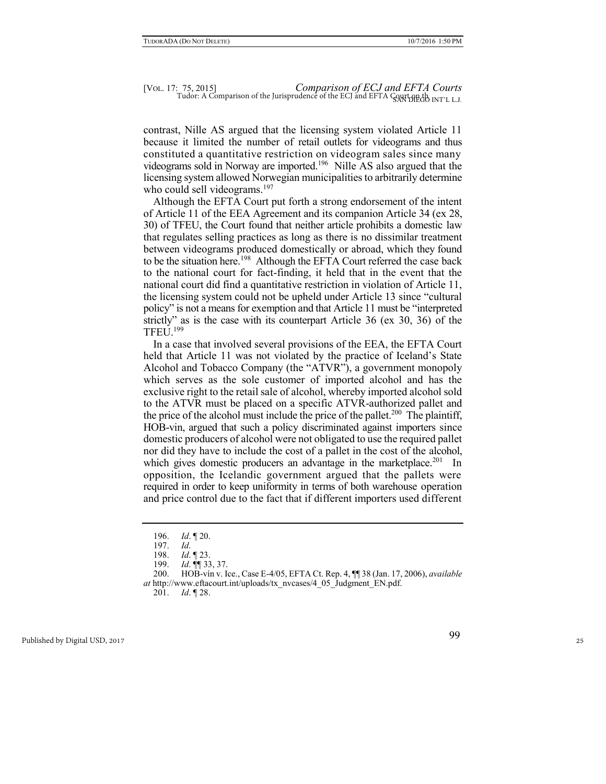contrast, Nille AS argued that the licensing system violated Article 11 because it limited the number of retail outlets for videograms and thus constituted a quantitative restriction on videogram sales since many videograms sold in Norway are imported.<sup>196</sup> Nille AS also argued that the licensing system allowed Norwegian municipalities to arbitrarily determine who could sell videograms.<sup>197</sup>

Although the EFTA Court put forth a strong endorsement of the intent of Article 11 of the EEA Agreement and its companion Article 34 (ex 28, 30) of TFEU, the Court found that neither article prohibits a domestic law that regulates selling practices as long as there is no dissimilar treatment between videograms produced domestically or abroad, which they found to be the situation here.<sup>198</sup> Although the EFTA Court referred the case back to the national court for fact-finding, it held that in the event that the national court did find a quantitative restriction in violation of Article 11, the licensing system could not be upheld under Article 13 since "cultural policy" is not a means for exemption and that Article 11 must be "interpreted strictly" as is the case with its counterpart Article 36 (ex 30, 36) of the TFEU $1^{199}$ 

In a case that involved several provisions of the EEA, the EFTA Court held that Article 11 was not violated by the practice of Iceland's State Alcohol and Tobacco Company (the "ATVR"), a government monopoly which serves as the sole customer of imported alcohol and has the exclusive right to the retail sale of alcohol, whereby imported alcohol sold to the ATVR must be placed on a specific ATVR-authorized pallet and the price of the alcohol must include the price of the pallet.<sup>200</sup> The plaintiff, HOB-vin, argued that such a policy discriminated against importers since domestic producers of alcohol were not obligated to use the required pallet nor did they have to include the cost of a pallet in the cost of the alcohol, which gives domestic producers an advantage in the marketplace.<sup>201</sup> In opposition, the Icelandic government argued that the pallets were required in order to keep uniformity in terms of both warehouse operation and price control due to the fact that if different importers used different

<sup>196.</sup> *Id*. ¶ 20.

<sup>197.</sup> *Id*.

<sup>198.</sup> *Id*. ¶ 23.

<sup>199.</sup> *Id*. ¶¶ 33, 37.

<sup>200.</sup> HOB-vín v. Ice., Case E-4/05, EFTA Ct. Rep. 4, ¶¶ 38 (Jan. 17, 2006), *available at* http://www.eftacourt.int/uploads/tx\_nvcases/4\_05\_Judgment\_EN.pdf.

<sup>201.</sup> *Id*. ¶ 28.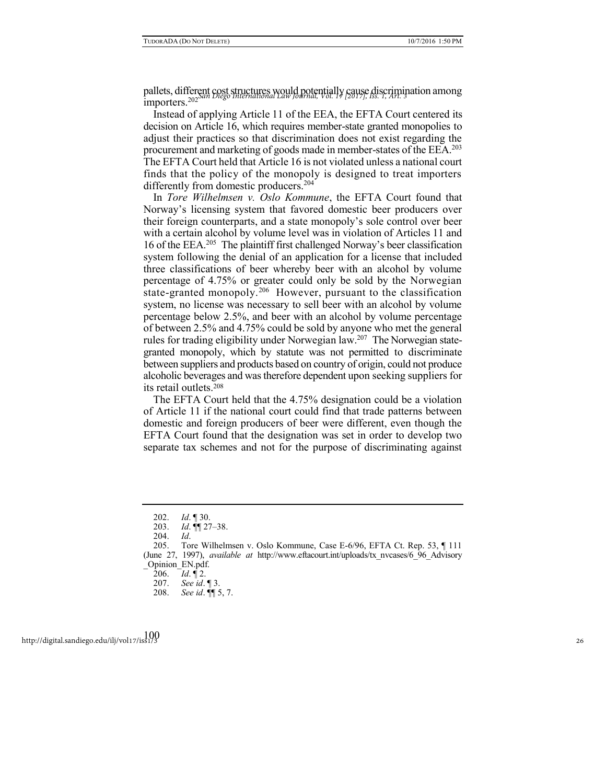pallets, different cost structures would potentially cause discrimination among *San Diego International Law Journal, Vol. 17 [2017], Iss. 1, Art. 3* importers.<sup>202</sup>

Instead of applying Article 11 of the EEA, the EFTA Court centered its decision on Article 16, which requires member-state granted monopolies to adjust their practices so that discrimination does not exist regarding the procurement and marketing of goods made in member-states of the EEA.<sup>203</sup> The EFTA Court held that Article 16 is not violated unless a national court finds that the policy of the monopoly is designed to treat importers differently from domestic producers.<sup>204</sup>

In *Tore Wilhelmsen v. Oslo Kommune*, the EFTA Court found that Norway's licensing system that favored domestic beer producers over their foreign counterparts, and a state monopoly's sole control over beer with a certain alcohol by volume level was in violation of Articles 11 and 16 of the EEA.<sup>205</sup> The plaintiff first challenged Norway's beer classification system following the denial of an application for a license that included three classifications of beer whereby beer with an alcohol by volume percentage of 4.75% or greater could only be sold by the Norwegian state-granted monopoly.<sup>206</sup> However, pursuant to the classification system, no license was necessary to sell beer with an alcohol by volume percentage below 2.5%, and beer with an alcohol by volume percentage of between 2.5% and 4.75% could be sold by anyone who met the general rules for trading eligibility under Norwegian law.<sup>207</sup> The Norwegian stategranted monopoly, which by statute was not permitted to discriminate between suppliers and products based on country of origin, could not produce alcoholic beverages and was therefore dependent upon seeking suppliers for its retail outlets.<sup>208</sup>

The EFTA Court held that the 4.75% designation could be a violation of Article 11 if the national court could find that trade patterns between domestic and foreign producers of beer were different, even though the EFTA Court found that the designation was set in order to develop two separate tax schemes and not for the purpose of discriminating against

<sup>202.</sup> *Id*. ¶ 30.

<sup>203.</sup> *Id*. ¶¶ 27–38.

<sup>204.</sup> *Id*.

<sup>205.</sup> Tore Wilhelmsen v. Oslo Kommune, Case E-6/96, EFTA Ct. Rep. 53, ¶ 111 (June 27, 1997), *available at* http://www.eftacourt.int/uploads/tx\_nvcases/6\_96\_Advisory \_Opinion\_EN.pdf.

<sup>206.</sup> *Id*. ¶ 2.

<sup>207.</sup> *See id*. ¶ 3.

<sup>208.</sup> *See id*. ¶¶ 5, 7.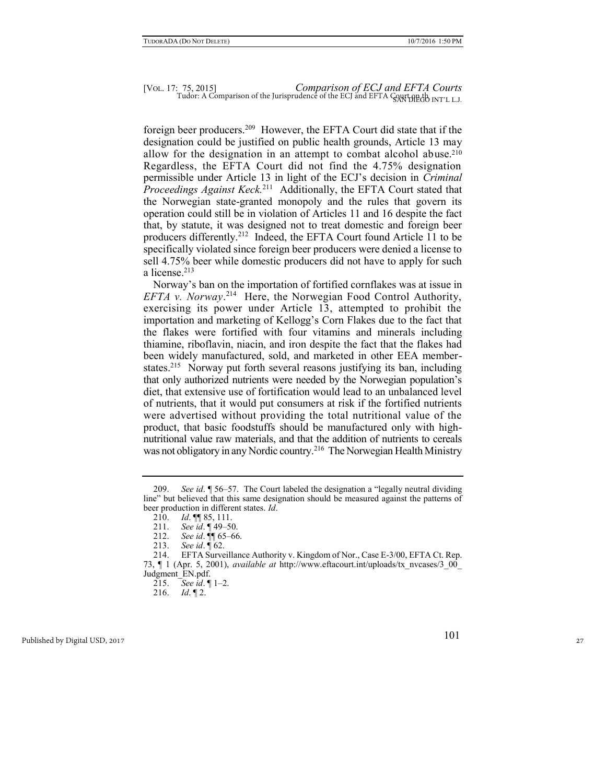foreign beer producers.<sup>209</sup> However, the EFTA Court did state that if the designation could be justified on public health grounds, Article 13 may allow for the designation in an attempt to combat alcohol abuse.<sup>210</sup> Regardless, the EFTA Court did not find the 4.75% designation permissible under Article 13 in light of the ECJ's decision in *Criminal*  Proceedings Against Keck.<sup>211</sup> Additionally, the EFTA Court stated that the Norwegian state-granted monopoly and the rules that govern its operation could still be in violation of Articles 11 and 16 despite the fact that, by statute, it was designed not to treat domestic and foreign beer producers differently.<sup>212</sup> Indeed, the EFTA Court found Article 11 to be specifically violated since foreign beer producers were denied a license to sell 4.75% beer while domestic producers did not have to apply for such a license<sup>213</sup>

Norway's ban on the importation of fortified cornflakes was at issue in *EFTA v. Norway*. 214 Here, the Norwegian Food Control Authority, exercising its power under Article 13, attempted to prohibit the importation and marketing of Kellogg's Corn Flakes due to the fact that the flakes were fortified with four vitamins and minerals including thiamine, riboflavin, niacin, and iron despite the fact that the flakes had been widely manufactured, sold, and marketed in other EEA memberstates.<sup>215</sup> Norway put forth several reasons justifying its ban, including that only authorized nutrients were needed by the Norwegian population's diet, that extensive use of fortification would lead to an unbalanced level of nutrients, that it would put consumers at risk if the fortified nutrients were advertised without providing the total nutritional value of the product, that basic foodstuffs should be manufactured only with highnutritional value raw materials, and that the addition of nutrients to cereals was not obligatory in any Nordic country.<sup>216</sup> The Norwegian Health Ministry

<sup>209.</sup> *See id*. ¶ 56–57. The Court labeled the designation a "legally neutral dividing line" but believed that this same designation should be measured against the patterns of beer production in different states. *Id*.

<sup>210.</sup> *Id*. ¶¶ 85, 111.

<sup>211.</sup> *See id*. ¶ 49–50.

<sup>212.</sup> *See id*. ¶¶ 65–66. 213. *See id*. ¶ 62.

<sup>214.</sup> EFTA Surveillance Authority v. Kingdom of Nor., Case E-3/00, EFTA Ct. Rep. 73, ¶ 1 (Apr. 5, 2001), *available at* http://www.eftacourt.int/uploads/tx\_nvcases/3\_00\_ Judgment\_EN.pdf.

<sup>215.</sup> *See id*. ¶ 1–2.

<sup>216.</sup> *Id*. ¶ 2.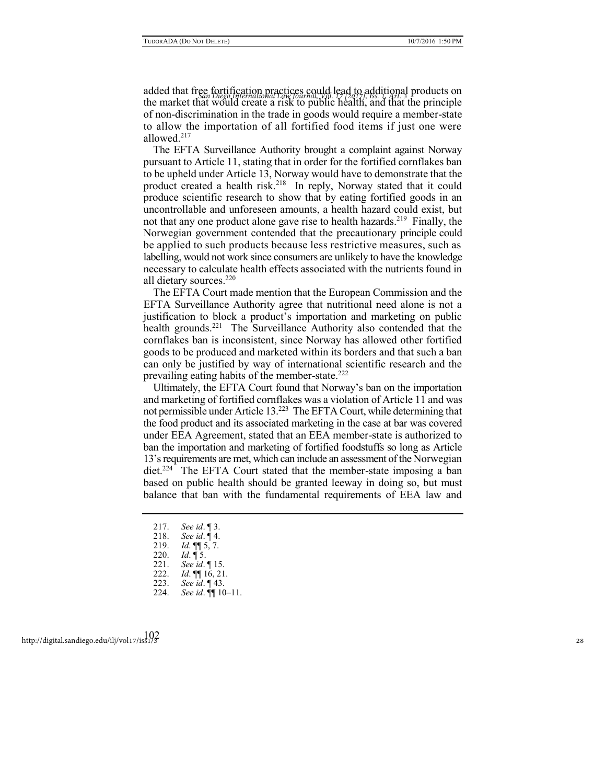added that free fortification practices could lead to additional products on *San Diego International Law Journal, Vol. 17 [2017], Iss. 1, Art. 3* the market that would create a risk to public health, and that the principle of non-discrimination in the trade in goods would require a member-state to allow the importation of all fortified food items if just one were allowed.<sup>217</sup>

The EFTA Surveillance Authority brought a complaint against Norway pursuant to Article 11, stating that in order for the fortified cornflakes ban to be upheld under Article 13, Norway would have to demonstrate that the product created a health risk.<sup>218</sup> In reply, Norway stated that it could produce scientific research to show that by eating fortified goods in an uncontrollable and unforeseen amounts, a health hazard could exist, but not that any one product alone gave rise to health hazards.<sup>219</sup> Finally, the Norwegian government contended that the precautionary principle could be applied to such products because less restrictive measures, such as labelling, would not work since consumers are unlikely to have the knowledge necessary to calculate health effects associated with the nutrients found in all dietary sources.<sup>220</sup>

The EFTA Court made mention that the European Commission and the EFTA Surveillance Authority agree that nutritional need alone is not a justification to block a product's importation and marketing on public health grounds.<sup>221</sup> The Surveillance Authority also contended that the cornflakes ban is inconsistent, since Norway has allowed other fortified goods to be produced and marketed within its borders and that such a ban can only be justified by way of international scientific research and the prevailing eating habits of the member-state.<sup>222</sup>

Ultimately, the EFTA Court found that Norway's ban on the importation and marketing of fortified cornflakes was a violation of Article 11 and was not permissible under Article 13.<sup>223</sup> The EFTA Court, while determining that the food product and its associated marketing in the case at bar was covered under EEA Agreement, stated that an EEA member-state is authorized to ban the importation and marketing of fortified foodstuffs so long as Article 13's requirements are met, which can include an assessment of the Norwegian diet.<sup>224</sup> The EFTA Court stated that the member-state imposing a ban based on public health should be granted leeway in doing so, but must balance that ban with the fundamental requirements of EEA law and

- 217. *See id*. ¶ 3.
- 218. *See id*. ¶ 4.
- 219. *Id*. ¶¶ 5, 7.
- 220. *Id*. ¶ 5.
- 
- 221. *See id*. ¶ 15. *Id.* **[16, 21.**
- 223. *See id*. ¶ 43.
- 224. *See id*. ¶¶ 10–11.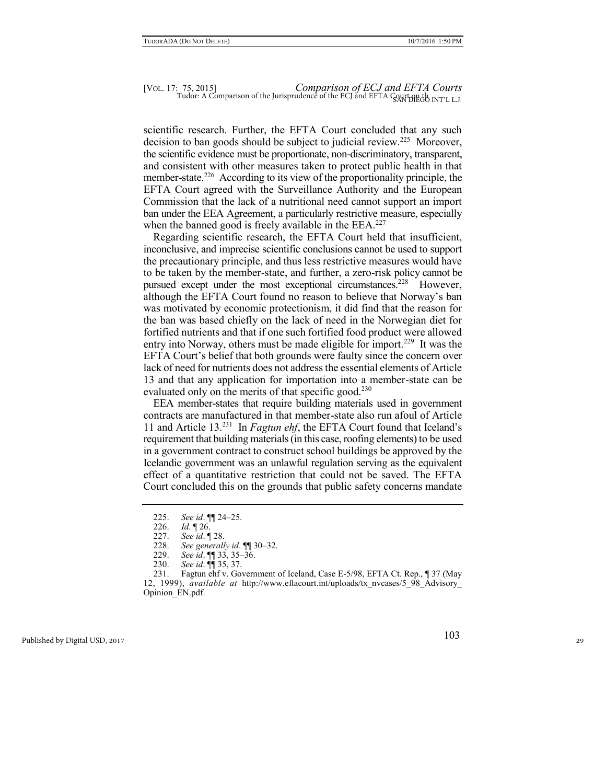scientific research. Further, the EFTA Court concluded that any such decision to ban goods should be subject to judicial review.<sup>225</sup> Moreover, the scientific evidence must be proportionate, non-discriminatory, transparent, and consistent with other measures taken to protect public health in that member-state.<sup>226</sup> According to its view of the proportionality principle, the EFTA Court agreed with the Surveillance Authority and the European Commission that the lack of a nutritional need cannot support an import ban under the EEA Agreement, a particularly restrictive measure, especially when the banned good is freely available in the EEA.<sup>227</sup>

Regarding scientific research, the EFTA Court held that insufficient, inconclusive, and imprecise scientific conclusions cannot be used to support the precautionary principle, and thus less restrictive measures would have to be taken by the member-state, and further, a zero-risk policy cannot be pursued except under the most exceptional circumstances.<sup>228</sup> However, although the EFTA Court found no reason to believe that Norway's ban was motivated by economic protectionism, it did find that the reason for the ban was based chiefly on the lack of need in the Norwegian diet for fortified nutrients and that if one such fortified food product were allowed entry into Norway, others must be made eligible for import.<sup>229</sup> It was the EFTA Court's belief that both grounds were faulty since the concern over lack of need for nutrients does not address the essential elements of Article 13 and that any application for importation into a member-state can be evaluated only on the merits of that specific good.<sup>230</sup>

EEA member-states that require building materials used in government contracts are manufactured in that member-state also run afoul of Article 11 and Article 13.<sup>231</sup> In *Fagtun ehf*, the EFTA Court found that Iceland's requirement that building materials (in this case, roofing elements) to be used in a government contract to construct school buildings be approved by the Icelandic government was an unlawful regulation serving as the equivalent effect of a quantitative restriction that could not be saved. The EFTA Court concluded this on the grounds that public safety concerns mandate

<sup>225.</sup> *See id*. ¶¶ 24–25.

<sup>226.</sup> *Id*. ¶ 26.

<sup>227.</sup> *See id*. ¶ 28.

<sup>228.</sup> *See generally id*. ¶¶ 30–32.

<sup>229.</sup> *See id*. ¶¶ 33, 35–36.

<sup>230.</sup> *See id*. ¶¶ 35, 37.

<sup>231.</sup> Fagtun ehf v. Government of Iceland, Case E-5/98, EFTA Ct. Rep., ¶ 37 (May 12, 1999), *available at* http://www.eftacourt.int/uploads/tx\_nvcases/5\_98\_Advisory\_ Opinion\_EN.pdf.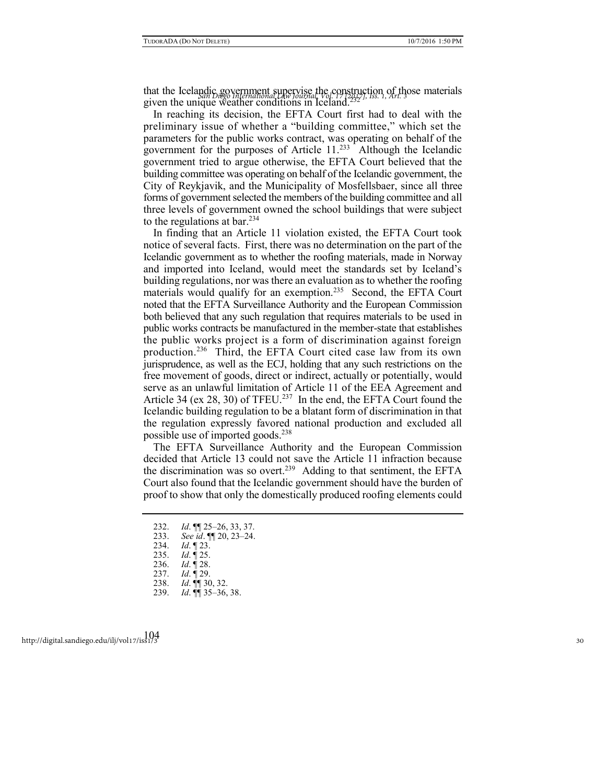that the Icelandic government supervise the construction of those materials that the Icelandic *gan Diego International Law Journal, Vol. 17 [2017]*, *Iss. 1, Art.* 30se materials given the unique weather conditions in Iceland.<sup>232</sup>

In reaching its decision, the EFTA Court first had to deal with the preliminary issue of whether a "building committee," which set the parameters for the public works contract, was operating on behalf of the government for the purposes of Article  $11.^{233}$  Although the Icelandic government tried to argue otherwise, the EFTA Court believed that the building committee was operating on behalf of the Icelandic government, the City of Reykjavik, and the Municipality of Mosfellsbaer, since all three forms of government selected the members of the building committee and all three levels of government owned the school buildings that were subject to the regulations at bar.<sup>234</sup>

In finding that an Article 11 violation existed, the EFTA Court took notice of several facts. First, there was no determination on the part of the Icelandic government as to whether the roofing materials, made in Norway and imported into Iceland, would meet the standards set by Iceland's building regulations, nor was there an evaluation as to whether the roofing materials would qualify for an exemption.<sup>235</sup> Second, the EFTA Court noted that the EFTA Surveillance Authority and the European Commission both believed that any such regulation that requires materials to be used in public works contracts be manufactured in the member-state that establishes the public works project is a form of discrimination against foreign production.<sup>236</sup> Third, the EFTA Court cited case law from its own jurisprudence, as well as the ECJ, holding that any such restrictions on the free movement of goods, direct or indirect, actually or potentially, would serve as an unlawful limitation of Article 11 of the EEA Agreement and Article 34 (ex 28, 30) of TFEU.<sup>237</sup> In the end, the EFTA Court found the Icelandic building regulation to be a blatant form of discrimination in that the regulation expressly favored national production and excluded all possible use of imported goods.<sup>238</sup>

The EFTA Surveillance Authority and the European Commission decided that Article 13 could not save the Article 11 infraction because the discrimination was so overt.<sup>239</sup> Adding to that sentiment, the EFTA Court also found that the Icelandic government should have the burden of proof to show that only the domestically produced roofing elements could

- 232. *Id*. ¶¶ 25–26, 33, 37.
- 233. *See id*. ¶¶ 20, 23–24.
- 234. *Id*. ¶ 23.
- 235. *Id*. ¶ 25.
- 236. *Id*. ¶ 28.
- 237. *Id*. ¶ 29.
- 238. *Id*. ¶¶ 30, 32.
- 239. *Id*. ¶¶ 35–36, 38.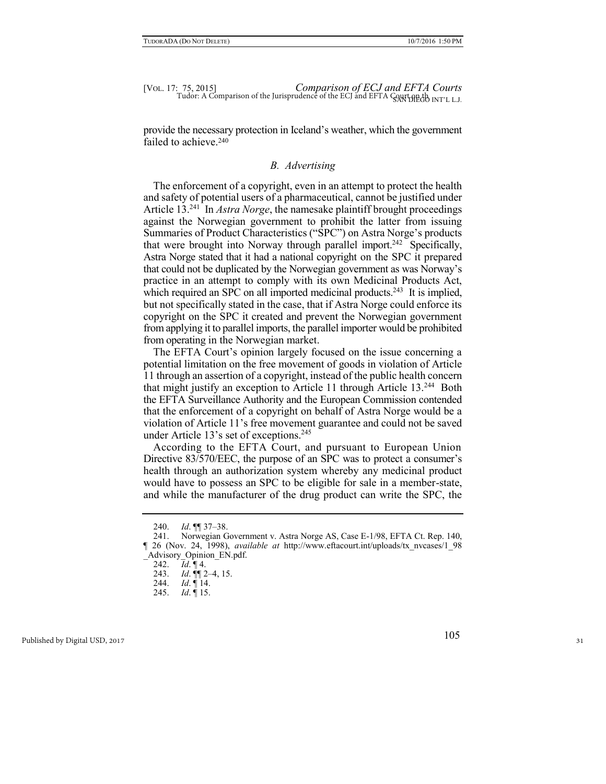provide the necessary protection in Iceland's weather, which the government failed to achieve.<sup>240</sup>

### *B. Advertising*

The enforcement of a copyright, even in an attempt to protect the health and safety of potential users of a pharmaceutical, cannot be justified under Article 13.<sup>241</sup> In *Astra Norge*, the namesake plaintiff brought proceedings against the Norwegian government to prohibit the latter from issuing Summaries of Product Characteristics ("SPC") on Astra Norge's products that were brought into Norway through parallel import.<sup>242</sup> Specifically, Astra Norge stated that it had a national copyright on the SPC it prepared that could not be duplicated by the Norwegian government as was Norway's practice in an attempt to comply with its own Medicinal Products Act, which required an SPC on all imported medicinal products.<sup>243</sup> It is implied, but not specifically stated in the case, that if Astra Norge could enforce its copyright on the SPC it created and prevent the Norwegian government from applying it to parallel imports, the parallel importer would be prohibited from operating in the Norwegian market.

The EFTA Court's opinion largely focused on the issue concerning a potential limitation on the free movement of goods in violation of Article 11 through an assertion of a copyright, instead of the public health concern that might justify an exception to Article 11 through Article 13.<sup>244</sup> Both the EFTA Surveillance Authority and the European Commission contended that the enforcement of a copyright on behalf of Astra Norge would be a violation of Article 11's free movement guarantee and could not be saved under Article 13's set of exceptions. $245$ 

According to the EFTA Court, and pursuant to European Union Directive 83/570/EEC, the purpose of an SPC was to protect a consumer's health through an authorization system whereby any medicinal product would have to possess an SPC to be eligible for sale in a member-state, and while the manufacturer of the drug product can write the SPC, the

<sup>240.</sup> *Id*. ¶¶ 37–38.

<sup>241.</sup> Norwegian Government v. Astra Norge AS, Case E-1/98, EFTA Ct. Rep. 140, ¶ 26 (Nov. 24, 1998), *available at* http://www.eftacourt.int/uploads/tx\_nvcases/1\_98 \_Advisory\_Opinion\_EN.pdf.

<sup>242.</sup> *Id*. ¶ 4.

<sup>243.</sup> *Id*. ¶¶ 2–4, 15.

<sup>244.</sup> *Id*. ¶ 14.

<sup>245.</sup> *Id*. ¶ 15.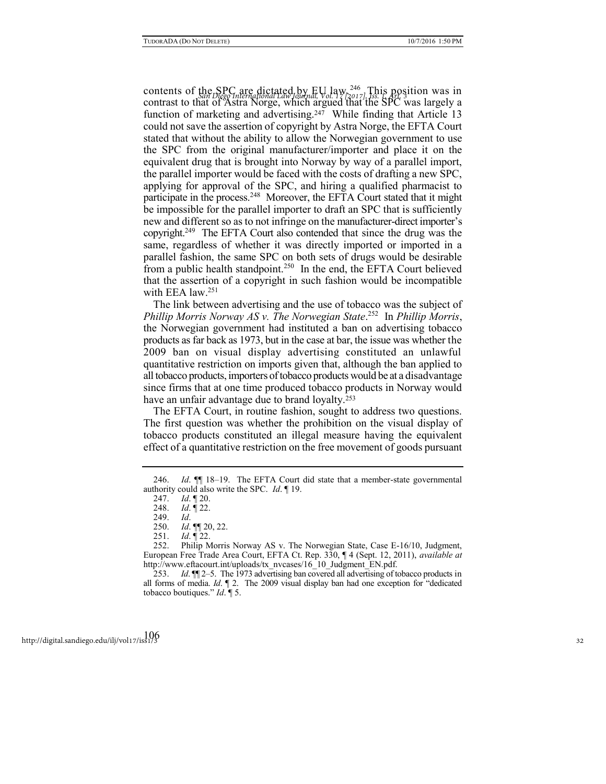contents of the SPC are dictated by EU law.<sup>246</sup> This position was in contrast to that of Astra Norge, which argued that the SPC was largely a function of marketing and advertising.<sup>247</sup> While finding that Article 13 could not save the assertion of copyright by Astra Norge, the EFTA Court stated that without the ability to allow the Norwegian government to use the SPC from the original manufacturer/importer and place it on the equivalent drug that is brought into Norway by way of a parallel import, the parallel importer would be faced with the costs of drafting a new SPC, applying for approval of the SPC, and hiring a qualified pharmacist to participate in the process.<sup>248</sup> Moreover, the EFTA Court stated that it might be impossible for the parallel importer to draft an SPC that is sufficiently new and different so as to not infringe on the manufacturer-direct importer's copyright.<sup>249</sup> The EFTA Court also contended that since the drug was the same, regardless of whether it was directly imported or imported in a parallel fashion, the same SPC on both sets of drugs would be desirable from a public health standpoint.<sup>250</sup> In the end, the EFTA Court believed that the assertion of a copyright in such fashion would be incompatible with EEA law.<sup>251</sup>

The link between advertising and the use of tobacco was the subject of *Phillip Morris Norway AS v. The Norwegian State*. 252 In *Phillip Morris*, the Norwegian government had instituted a ban on advertising tobacco products as far back as 1973, but in the case at bar, the issue was whether the 2009 ban on visual display advertising constituted an unlawful quantitative restriction on imports given that, although the ban applied to all tobacco products, importers of tobacco products would be at a disadvantage since firms that at one time produced tobacco products in Norway would have an unfair advantage due to brand loyalty.<sup>253</sup>

The EFTA Court, in routine fashion, sought to address two questions. The first question was whether the prohibition on the visual display of tobacco products constituted an illegal measure having the equivalent effect of a quantitative restriction on the free movement of goods pursuant

<sup>246.</sup> *Id*. ¶¶ 18–19. The EFTA Court did state that a member-state governmental authority could also write the SPC. *Id*. ¶ 19.

<sup>247.</sup> *Id*. ¶ 20.

<sup>248.</sup> *Id*. ¶ 22.

<sup>249.</sup> *Id*.

<sup>250.</sup> *Id*. ¶¶ 20, 22.

<sup>251.</sup> *Id*. ¶ 22.

<sup>252.</sup> Philip Morris Norway AS v. The Norwegian State, Case E-16/10, Judgment, European Free Trade Area Court, EFTA Ct. Rep. 330, ¶ 4 (Sept. 12, 2011), *available at* http://www.eftacourt.int/uploads/tx\_nvcases/16\_10\_Judgment\_EN.pdf.

<sup>253.</sup> *Id*. ¶¶ 2–5. The 1973 advertising ban covered all advertising of tobacco products in all forms of media. *Id*. ¶ 2. The 2009 visual display ban had one exception for "dedicated tobacco boutiques." *Id*. ¶ 5.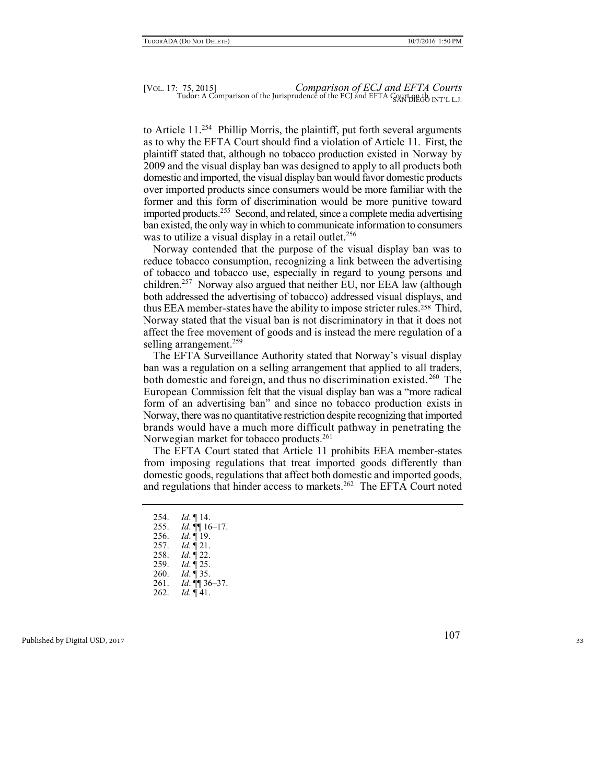to Article 11.<sup>254</sup> Phillip Morris, the plaintiff, put forth several arguments as to why the EFTA Court should find a violation of Article 11. First, the plaintiff stated that, although no tobacco production existed in Norway by 2009 and the visual display ban was designed to apply to all products both domestic and imported, the visual display ban would favor domestic products over imported products since consumers would be more familiar with the former and this form of discrimination would be more punitive toward imported products.<sup>255</sup> Second, and related, since a complete media advertising ban existed, the only way in which to communicate information to consumers was to utilize a visual display in a retail outlet.<sup>256</sup>

Norway contended that the purpose of the visual display ban was to reduce tobacco consumption, recognizing a link between the advertising of tobacco and tobacco use, especially in regard to young persons and children.<sup>257</sup> Norway also argued that neither EU, nor EEA law (although both addressed the advertising of tobacco) addressed visual displays, and thus EEA member-states have the ability to impose stricter rules.258 Third, Norway stated that the visual ban is not discriminatory in that it does not affect the free movement of goods and is instead the mere regulation of a selling arrangement.<sup>259</sup>

The EFTA Surveillance Authority stated that Norway's visual display ban was a regulation on a selling arrangement that applied to all traders, both domestic and foreign, and thus no discrimination existed.<sup>260</sup> The European Commission felt that the visual display ban was a "more radical form of an advertising ban" and since no tobacco production exists in Norway, there was no quantitative restriction despite recognizing that imported brands would have a much more difficult pathway in penetrating the Norwegian market for tobacco products.<sup>261</sup>

The EFTA Court stated that Article 11 prohibits EEA member-states from imposing regulations that treat imported goods differently than domestic goods, regulations that affect both domestic and imported goods, and regulations that hinder access to markets.<sup>262</sup> The EFTA Court noted

- 254. *Id*. ¶ 14.
- 255. *Id*. ¶¶ 16 –17.
- 256. *Id*. ¶ 19.
- 257. *Id*. ¶ 21.
- 258. *Id*. ¶ 22.
- 259. *Id*. ¶ 25.
- *Id.* ¶ 35.
- 261. *Id*. ¶¶ 36 –37.
- 262. *Id*. ¶ 41.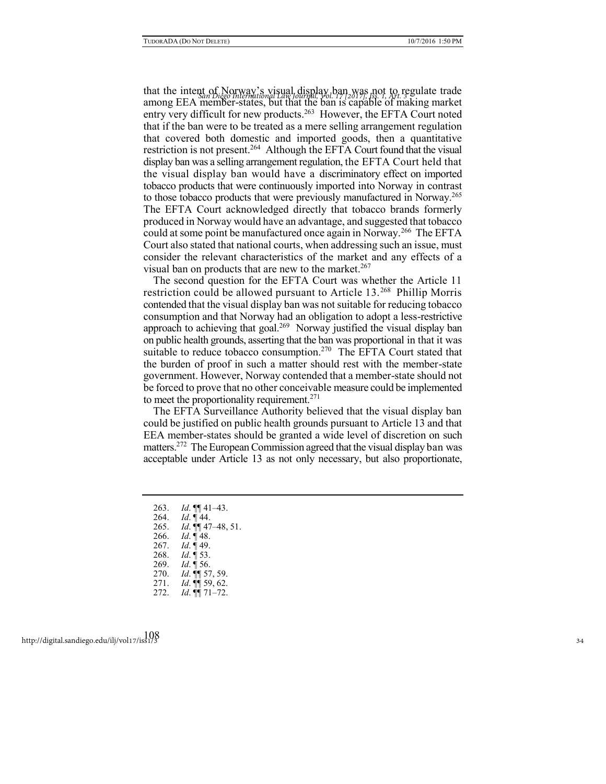that the intent of Norway's visual display ban was not to regulate trade *San Diego International Law Journal, Vol. 17 [2017], Iss. 1, Art. 3* among EEA member-states, but that the ban is capable of making market entry very difficult for new products.<sup>263</sup> However, the EFTA Court noted that if the ban were to be treated as a mere selling arrangement regulation that covered both domestic and imported goods, then a quantitative restriction is not present.<sup>264</sup> Although the EFTA Court found that the visual display ban was a selling arrangement regulation, the EFTA Court held that the visual display ban would have a discriminatory effect on imported tobacco products that were continuously imported into Norway in contrast to those tobacco products that were previously manufactured in Norway.<sup>265</sup> The EFTA Court acknowledged directly that tobacco brands formerly produced in Norway would have an advantage, and suggested that tobacco could at some point be manufactured once again in Norway.<sup>266</sup> The EFTA Court also stated that national courts, when addressing such an issue, must consider the relevant characteristics of the market and any effects of a visual ban on products that are new to the market.<sup>267</sup>

The second question for the EFTA Court was whether the Article 11 restriction could be allowed pursuant to Article 13.<sup>268</sup> Phillip Morris contended that the visual display ban was not suitable for reducing tobacco consumption and that Norway had an obligation to adopt a less-restrictive approach to achieving that goal.<sup>269</sup> Norway justified the visual display ban on public health grounds, asserting that the ban was proportional in that it was suitable to reduce tobacco consumption.<sup>270</sup> The EFTA Court stated that the burden of proof in such a matter should rest with the member-state government. However, Norway contended that a member-state should not be forced to prove that no other conceivable measure could be implemented to meet the proportionality requirement.<sup>271</sup>

The EFTA Surveillance Authority believed that the visual display ban could be justified on public health grounds pursuant to Article 13 and that EEA member-states should be granted a wide level of discretion on such matters.<sup>272</sup> The European Commission agreed that the visual display ban was acceptable under Article 13 as not only necessary, but also proportionate,

- 263. *Id*. ¶¶ 41–43.
- 264. *Id*. ¶ 44.
- 265. *Id*. ¶¶ 47–48, 51.
- 266. *Id*. ¶ 48.
- 267. *Id*. ¶ 49.
- 268. *Id*. ¶ 53.
- 269. *Id*. ¶ 56.
- *Id.* **¶** 57, 59.
- 271. *Id*. ¶¶ 59, 62. 272. *Id*. ¶¶ 71–72.
- 108 http://digital.sandiego.edu/ilj/vol17/iss1/3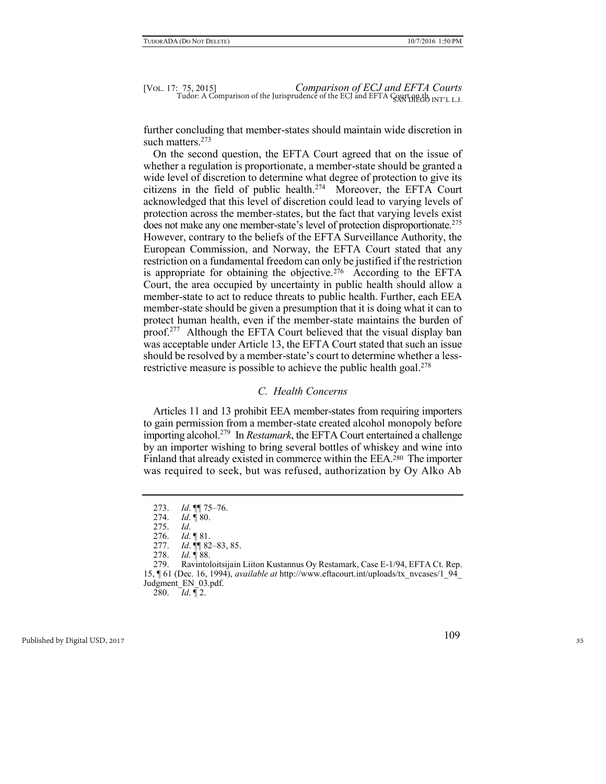further concluding that member-states should maintain wide discretion in such matters.<sup>273</sup>

On the second question, the EFTA Court agreed that on the issue of whether a regulation is proportionate, a member-state should be granted a wide level of discretion to determine what degree of protection to give its citizens in the field of public health.<sup>274</sup> Moreover, the EFTA Court acknowledged that this level of discretion could lead to varying levels of protection across the member-states, but the fact that varying levels exist does not make any one member-state's level of protection disproportionate.<sup>275</sup> However, contrary to the beliefs of the EFTA Surveillance Authority, the European Commission, and Norway, the EFTA Court stated that any restriction on a fundamental freedom can only be justified if the restriction is appropriate for obtaining the objective.<sup>276</sup> According to the EFTA Court, the area occupied by uncertainty in public health should allow a member-state to act to reduce threats to public health. Further, each EEA member-state should be given a presumption that it is doing what it can to protect human health, even if the member-state maintains the burden of proof.<sup>277</sup> Although the EFTA Court believed that the visual display ban was acceptable under Article 13, the EFTA Court stated that such an issue should be resolved by a member-state's court to determine whether a lessrestrictive measure is possible to achieve the public health goal.<sup>278</sup>

# *C. Health Concerns*

Articles 11 and 13 prohibit EEA member-states from requiring importers to gain permission from a member-state created alcohol monopoly before importing alcohol.<sup>279</sup> In *Restamark*, the EFTA Court entertained a challenge by an importer wishing to bring several bottles of whiskey and wine into Finland that already existed in commerce within the EEA.280 The importer was required to seek, but was refused, authorization by Oy Alko Ab

280. *Id*. ¶ 2.

<sup>273.</sup> *Id*. ¶¶ 75–76.

<sup>274.</sup> *Id*. ¶ 80.

<sup>275.</sup> *Id*.

<sup>276.</sup> *Id*. ¶ 81.

<sup>277.</sup> *Id*. ¶¶ 82–83, 85.

<sup>278.</sup> *Id*. ¶ 88.

<sup>279.</sup> Ravintoloitsijain Liiton Kustannus Oy Restamark, Case E-1/94, EFTA Ct. Rep. 15, ¶ 61 (Dec. 16, 1994), *available at* http://www.eftacourt.int/uploads/tx\_nvcases/1\_94\_ Judgment\_EN\_03.pdf.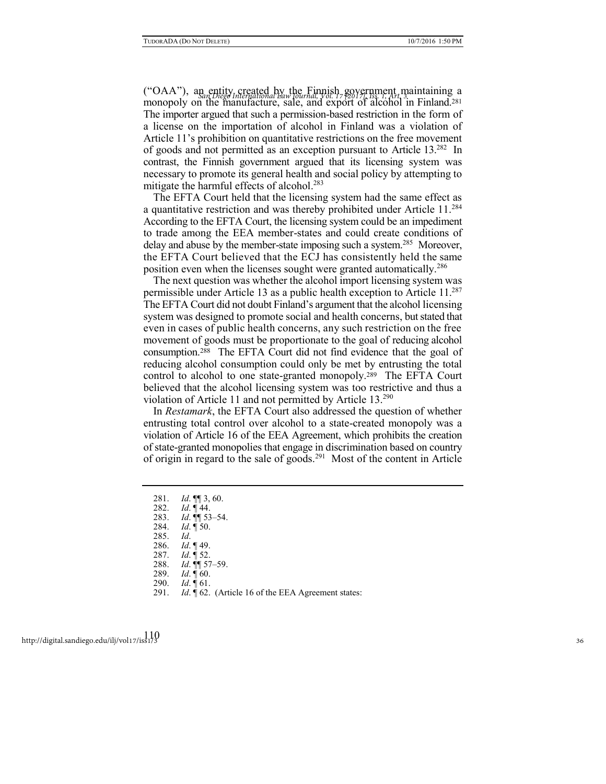("OAA"), an entity created by the Finnish government maintaining a *San Diego International Law Journal, Vol. 17 [2017], Iss. 1, Art. 3* monopoly on the manufacture, sale, and export of alcohol in Finland.<sup>281</sup> The importer argued that such a permission-based restriction in the form of a license on the importation of alcohol in Finland was a violation of Article 11's prohibition on quantitative restrictions on the free movement of goods and not permitted as an exception pursuant to Article 13.<sup>282</sup> In contrast, the Finnish government argued that its licensing system was necessary to promote its general health and social policy by attempting to mitigate the harmful effects of alcohol.<sup>283</sup>

The EFTA Court held that the licensing system had the same effect as a quantitative restriction and was thereby prohibited under Article 11.<sup>284</sup> According to the EFTA Court, the licensing system could be an impediment to trade among the EEA member-states and could create conditions of delay and abuse by the member-state imposing such a system.<sup>285</sup> Moreover, the EFTA Court believed that the ECJ has consistently held the same position even when the licenses sought were granted automatically.<sup>286</sup>

The next question was whether the alcohol import licensing system was permissible under Article 13 as a public health exception to Article 11.<sup>287</sup> The EFTA Court did not doubt Finland's argument that the alcohol licensing system was designed to promote social and health concerns, but stated that even in cases of public health concerns, any such restriction on the free movement of goods must be proportionate to the goal of reducing alcohol consumption.288 The EFTA Court did not find evidence that the goal of reducing alcohol consumption could only be met by entrusting the total control to alcohol to one state-granted monopoly.289 The EFTA Court believed that the alcohol licensing system was too restrictive and thus a violation of Article 11 and not permitted by Article 13.<sup>290</sup>

In *Restamark*, the EFTA Court also addressed the question of whether entrusting total control over alcohol to a state-created monopoly was a violation of Article 16 of the EEA Agreement, which prohibits the creation of state-granted monopolies that engage in discrimination based on country of origin in regard to the sale of goods.<sup>291</sup> Most of the content in Article

- 281. *Id*. ¶¶ 3, 60.
- 282. *Id*. ¶ 44.
- 283. *Id*. ¶¶ 53–54.
- 284. *Id*. ¶ 50.
- 285. *Id*.
- *Id.* ¶ 49.
- 287. *Id*. ¶ 52.
- 288. *Id*. ¶¶ 57–59.
- *Id.* ¶ 60.
- 290. *Id*. ¶ 61.
- 291. *Id*. ¶ 62. (Article 16 of the EEA Agreement states: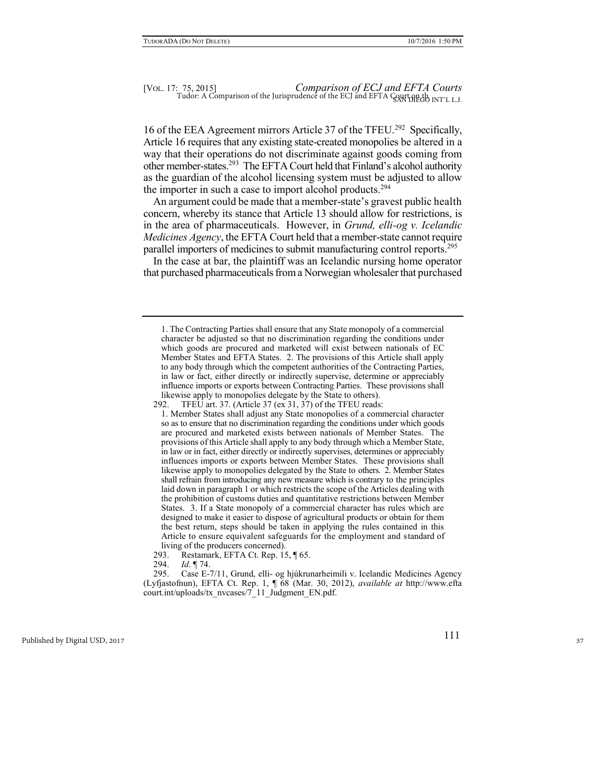16 of the EEA Agreement mirrors Article 37 of the TFEU.<sup>292</sup> Specifically, Article 16 requires that any existing state-created monopolies be altered in a way that their operations do not discriminate against goods coming from other member-states.<sup>293</sup> The EFTA Court held that Finland's alcohol authority as the guardian of the alcohol licensing system must be adjusted to allow the importer in such a case to import alcohol products.<sup>294</sup>

An argument could be made that a member-state's gravest public health concern, whereby its stance that Article 13 should allow for restrictions, is in the area of pharmaceuticals. However, in *Grund, elli-og v. Icelandic Medicines Agency*, the EFTA Court held that a member-state cannot require parallel importers of medicines to submit manufacturing control reports.<sup>295</sup>

In the case at bar, the plaintiff was an Icelandic nursing home operator that purchased pharmaceuticals from a Norwegian wholesaler that purchased

294. *Id*. ¶ 74.

<sup>1.</sup> The Contracting Parties shall ensure that any State monopoly of a commercial character be adjusted so that no discrimination regarding the conditions under which goods are procured and marketed will exist between nationals of EC Member States and EFTA States. 2. The provisions of this Article shall apply to any body through which the competent authorities of the Contracting Parties, in law or fact, either directly or indirectly supervise, determine or appreciably influence imports or exports between Contracting Parties. These provisions shall likewise apply to monopolies delegate by the State to others).

<sup>292.</sup> TFEU art. 37. (Article 37 (ex 31, 37) of the TFEU reads:

<sup>1.</sup> Member States shall adjust any State monopolies of a commercial character so as to ensure that no discrimination regarding the conditions under which goods are procured and marketed exists between nationals of Member States. The provisions of this Article shall apply to any body through which a Member State, in law or in fact, either directly or indirectly supervises, determines or appreciably influences imports or exports between Member States. These provisions shall likewise apply to monopolies delegated by the State to others. 2. Member States shall refrain from introducing any new measure which is contrary to the principles laid down in paragraph 1 or which restricts the scope of the Articles dealing with the prohibition of customs duties and quantitative restrictions between Member States. 3. If a State monopoly of a commercial character has rules which are designed to make it easier to dispose of agricultural products or obtain for them the best return, steps should be taken in applying the rules contained in this Article to ensure equivalent safeguards for the employment and standard of living of the producers concerned).

<sup>293.</sup> Restamark, EFTA Ct. Rep. 15, ¶ 65.

<sup>295.</sup> Case E-7/11, Grund, elli- og hjúkrunarheimili v. Icelandic Medicines Agency (Lyfjastofnun), EFTA Ct. Rep. 1, ¶ 68 (Mar. 30, 2012), *available at* http://www.efta court.int/uploads/tx\_nvcases/7\_11\_Judgment\_EN.pdf.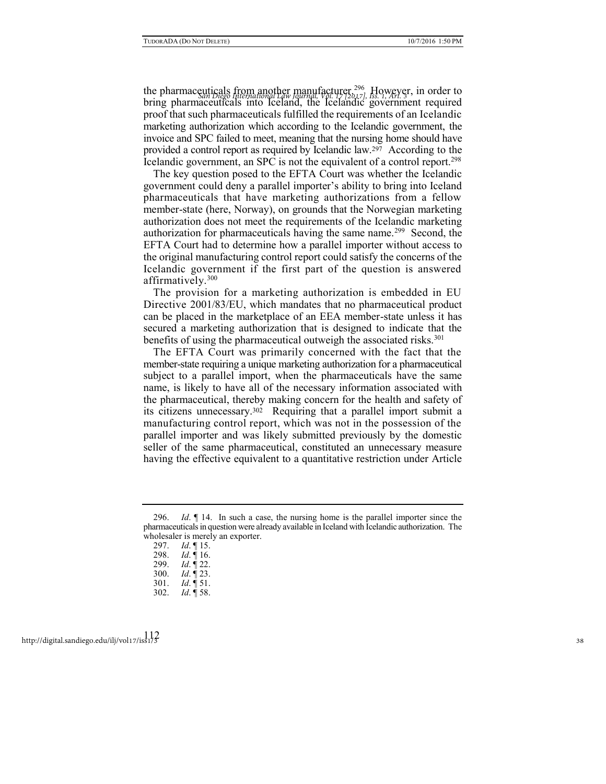the pharmaceuticals from another manufacturer.<sup>296</sup> However, in order to bring pharmaceuticals into Iceland, the Icelandic government required proof that such pharmaceuticals fulfilled the requirements of an Icelandic marketing authorization which according to the Icelandic government, the invoice and SPC failed to meet, meaning that the nursing home should have provided a control report as required by Icelandic law.<sup>297</sup> According to the Icelandic government, an SPC is not the equivalent of a control report.<sup>298</sup>

The key question posed to the EFTA Court was whether the Icelandic government could deny a parallel importer's ability to bring into Iceland pharmaceuticals that have marketing authorizations from a fellow member-state (here, Norway), on grounds that the Norwegian marketing authorization does not meet the requirements of the Icelandic marketing authorization for pharmaceuticals having the same name.<sup>299</sup> Second, the EFTA Court had to determine how a parallel importer without access to the original manufacturing control report could satisfy the concerns of the Icelandic government if the first part of the question is answered affirmatively. $300$ 

The provision for a marketing authorization is embedded in EU Directive 2001/83/EU, which mandates that no pharmaceutical product can be placed in the marketplace of an EEA member-state unless it has secured a marketing authorization that is designed to indicate that the benefits of using the pharmaceutical outweigh the associated risks.<sup>301</sup>

The EFTA Court was primarily concerned with the fact that the member-state requiring a unique marketing authorization for a pharmaceutical subject to a parallel import, when the pharmaceuticals have the same name, is likely to have all of the necessary information associated with the pharmaceutical, thereby making concern for the health and safety of its citizens unnecessary.302 Requiring that a parallel import submit a manufacturing control report, which was not in the possession of the parallel importer and was likely submitted previously by the domestic seller of the same pharmaceutical, constituted an unnecessary measure having the effective equivalent to a quantitative restriction under Article

<sup>296.</sup> *Id*. ¶ 14. In such a case, the nursing home is the parallel importer since the pharmaceuticals in question were already available in Iceland with Icelandic authorization. The wholesaler is merely an exporter.

<sup>297.</sup> *Id*. ¶ 15.

<sup>298.</sup> *Id*. ¶ 16.

<sup>299.</sup> *Id*. ¶ 22.

<sup>300.</sup> *Id*. ¶ 23.

<sup>301.</sup> *Id*. ¶ 51.

<sup>302.</sup> *Id*. ¶ 58.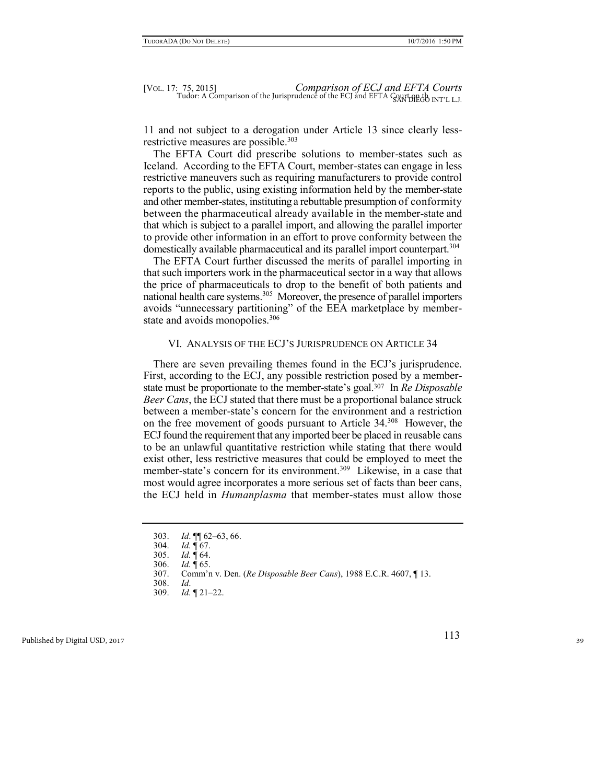11 and not subject to a derogation under Article 13 since clearly lessrestrictive measures are possible.<sup>303</sup>

The EFTA Court did prescribe solutions to member-states such as Iceland. According to the EFTA Court, member-states can engage in less restrictive maneuvers such as requiring manufacturers to provide control reports to the public, using existing information held by the member-state and other member-states, instituting a rebuttable presumption of conformity between the pharmaceutical already available in the member-state and that which is subject to a parallel import, and allowing the parallel importer to provide other information in an effort to prove conformity between the domestically available pharmaceutical and its parallel import counterpart.<sup>304</sup>

The EFTA Court further discussed the merits of parallel importing in that such importers work in the pharmaceutical sector in a way that allows the price of pharmaceuticals to drop to the benefit of both patients and national health care systems.<sup>305</sup> Moreover, the presence of parallel importers avoids "unnecessary partitioning" of the EEA marketplace by memberstate and avoids monopolies.<sup>306</sup>

### VI. ANALYSIS OF THE ECJ'S JURISPRUDENCE ON ARTICLE 34

There are seven prevailing themes found in the ECJ's jurisprudence. First, according to the ECJ, any possible restriction posed by a memberstate must be proportionate to the member-state's goal.307 In *Re Disposable Beer Cans*, the ECJ stated that there must be a proportional balance struck between a member-state's concern for the environment and a restriction on the free movement of goods pursuant to Article 34.<sup>308</sup> However, the ECJ found the requirement that any imported beer be placed in reusable cans to be an unlawful quantitative restriction while stating that there would exist other, less restrictive measures that could be employed to meet the member-state's concern for its environment.<sup>309</sup> Likewise, in a case that most would agree incorporates a more serious set of facts than beer cans, the ECJ held in *Humanplasma* that member-states must allow those

<sup>303.</sup> *Id*. ¶¶ 62–63, 66.

<sup>304.</sup> *Id.* ¶ 67.

<sup>305.</sup> *Id.* ¶ 64.

<sup>306.</sup> *Id.* ¶ 65. 307. Comm'n v. Den. (*Re Disposable Beer Cans*), 1988 E.C.R. 4607, ¶ 13.

<sup>308.</sup> *Id*.

<sup>309.</sup> *Id.* ¶ 21–22.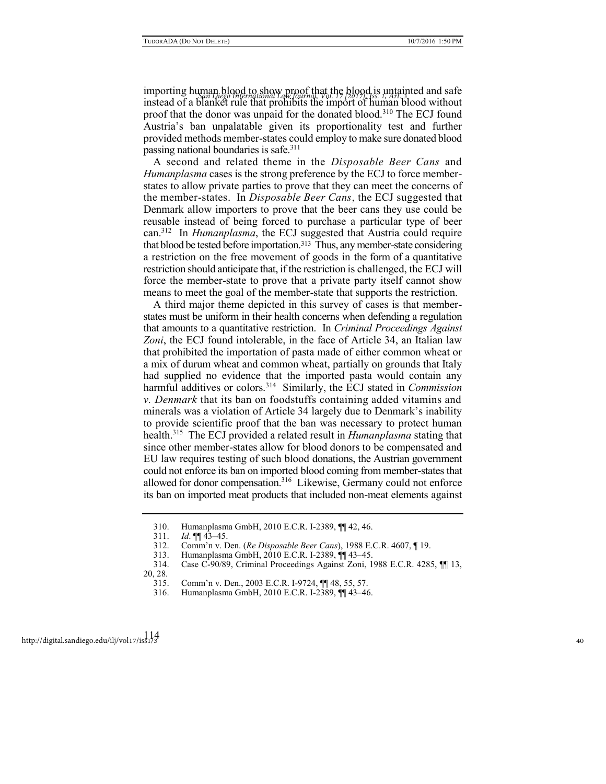importing human blood to show proof that the blood is untainted and safe *San Diego International Law Journal, Vol. 17 [2017], Iss. 1, Art. 3* instead of a blanket rule that prohibits the import of human blood without proof that the donor was unpaid for the donated blood.<sup>310</sup> The ECJ found Austria's ban unpalatable given its proportionality test and further provided methods member-states could employ to make sure donated blood passing national boundaries is safe.<sup>311</sup>

A second and related theme in the *Disposable Beer Cans* and *Humanplasma* cases is the strong preference by the ECJ to force memberstates to allow private parties to prove that they can meet the concerns of the member-states. In *Disposable Beer Cans*, the ECJ suggested that Denmark allow importers to prove that the beer cans they use could be reusable instead of being forced to purchase a particular type of beer can.<sup>312</sup> In *Humanplasma*, the ECJ suggested that Austria could require that blood be tested before importation.313 Thus, any member-state considering a restriction on the free movement of goods in the form of a quantitative restriction should anticipate that, if the restriction is challenged, the ECJ will force the member-state to prove that a private party itself cannot show means to meet the goal of the member-state that supports the restriction.

A third major theme depicted in this survey of cases is that memberstates must be uniform in their health concerns when defending a regulation that amounts to a quantitative restriction. In *Criminal Proceedings Against Zoni*, the ECJ found intolerable, in the face of Article 34, an Italian law that prohibited the importation of pasta made of either common wheat or a mix of durum wheat and common wheat, partially on grounds that Italy had supplied no evidence that the imported pasta would contain any harmful additives or colors.<sup>314</sup> Similarly, the ECJ stated in *Commission v. Denmark* that its ban on foodstuffs containing added vitamins and minerals was a violation of Article 34 largely due to Denmark's inability to provide scientific proof that the ban was necessary to protect human health.<sup>315</sup> The ECJ provided a related result in *Humanplasma* stating that since other member-states allow for blood donors to be compensated and EU law requires testing of such blood donations, the Austrian government could not enforce its ban on imported blood coming from member-states that allowed for donor compensation.<sup>316</sup> Likewise, Germany could not enforce its ban on imported meat products that included non-meat elements against

<sup>310.</sup> Humanplasma GmbH, 2010 E.C.R. I-2389, ¶¶ 42, 46.

<sup>311.</sup> *Id*. ¶¶ 43–45.

<sup>312.</sup> Comm'n v. Den. (*Re Disposable Beer Cans*), 1988 E.C.R. 4607, ¶ 19.

<sup>313.</sup> Humanplasma GmbH, 2010 E.C.R. I-2389, ¶¶ 43–45.

<sup>314.</sup> Case C-90/89, Criminal Proceedings Against Zoni, 1988 E.C.R. 4285, ¶¶ 13, 20, 28.

<sup>315.</sup> Comm'n v. Den., 2003 E.C.R. I-9724, ¶¶ 48, 55, 57.

<sup>316.</sup> Humanplasma GmbH, 2010 E.C.R. I-2389, ¶¶ 43–46.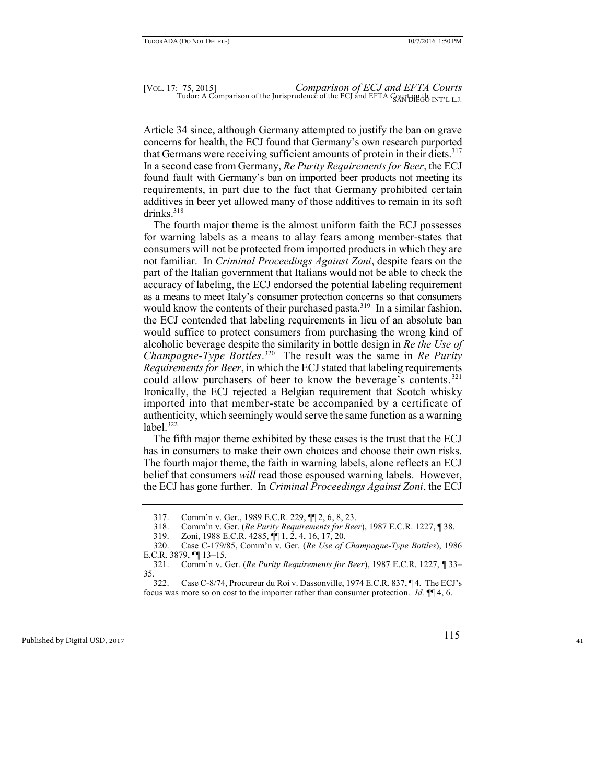Article 34 since, although Germany attempted to justify the ban on grave concerns for health, the ECJ found that Germany's own research purported that Germans were receiving sufficient amounts of protein in their diets.<sup>317</sup> In a second case from Germany, *Re Purity Requirements for Beer*, the ECJ found fault with Germany's ban on imported beer products not meeting its requirements, in part due to the fact that Germany prohibited certain additives in beer yet allowed many of those additives to remain in its soft drinks.<sup>318</sup>

The fourth major theme is the almost uniform faith the ECJ possesses for warning labels as a means to allay fears among member-states that consumers will not be protected from imported products in which they are not familiar. In *Criminal Proceedings Against Zoni*, despite fears on the part of the Italian government that Italians would not be able to check the accuracy of labeling, the ECJ endorsed the potential labeling requirement as a means to meet Italy's consumer protection concerns so that consumers would know the contents of their purchased pasta.<sup>319</sup> In a similar fashion, the ECJ contended that labeling requirements in lieu of an absolute ban would suffice to protect consumers from purchasing the wrong kind of alcoholic beverage despite the similarity in bottle design in *Re the Use of Champagne-Type Bottles*. 320 The result was the same in *Re Purity Requirements for Beer*, in which the ECJ stated that labeling requirements could allow purchasers of beer to know the beverage's contents.<sup>321</sup> Ironically, the ECJ rejected a Belgian requirement that Scotch whisky imported into that member-state be accompanied by a certificate of authenticity, which seemingly would serve the same function as a warning label. $322$ 

The fifth major theme exhibited by these cases is the trust that the ECJ has in consumers to make their own choices and choose their own risks. The fourth major theme, the faith in warning labels, alone reflects an ECJ belief that consumers *will* read those espoused warning labels. However, the ECJ has gone further. In *Criminal Proceedings Against Zoni*, the ECJ

<sup>317.</sup> Comm'n v. Ger., 1989 E.C.R. 229, ¶¶ 2, 6, 8, 23.

<sup>318.</sup> Comm'n v. Ger. (*Re Purity Requirements for Beer*), 1987 E.C.R. 1227, ¶ 38.

<sup>319.</sup> Zoni, 1988 E.C.R. 4285, ¶¶ 1, 2, 4, 16, 17, 20.

<sup>320.</sup> Case C-179/85, Comm'n v. Ger. (*Re Use of Champagne-Type Bottles*), 1986 E.C.R. 3879, ¶¶ 13–15.

<sup>321.</sup> Comm'n v. Ger. (*Re Purity Requirements for Beer*), 1987 E.C.R. 1227, ¶ 33– 35.

<sup>322.</sup> Case C-8/74, Procureur du Roi v. Dassonville, 1974 E.C.R. 837, ¶ 4. The ECJ's focus was more so on cost to the importer rather than consumer protection. *Id.* ¶¶ 4, 6.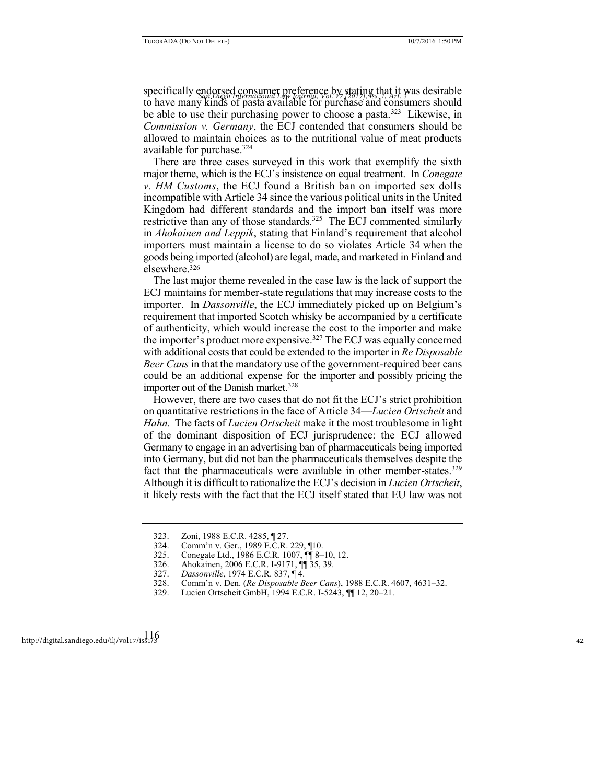specifically endorsed consumer preference by stating that it was desirable<br>*Article Ban Diego International Law Journal, Vol. 17 [2017], As. 1, Art.* 37 *as* to have many kinds of pasta available for purchase and consumers should be able to use their purchasing power to choose a pasta.<sup>323</sup> Likewise, in *Commission v. Germany*, the ECJ contended that consumers should be allowed to maintain choices as to the nutritional value of meat products available for purchase.<sup>324</sup>

There are three cases surveyed in this work that exemplify the sixth major theme, which is the ECJ's insistence on equal treatment. In *Conegate v. HM Customs*, the ECJ found a British ban on imported sex dolls incompatible with Article 34 since the various political units in the United Kingdom had different standards and the import ban itself was more restrictive than any of those standards.<sup>325</sup> The ECJ commented similarly in *Ahokainen and Leppik*, stating that Finland's requirement that alcohol importers must maintain a license to do so violates Article 34 when the goods being imported (alcohol) are legal, made, and marketed in Finland and elsewhere.<sup>326</sup>

The last major theme revealed in the case law is the lack of support the ECJ maintains for member-state regulations that may increase costs to the importer. In *Dassonville*, the ECJ immediately picked up on Belgium's requirement that imported Scotch whisky be accompanied by a certificate of authenticity, which would increase the cost to the importer and make the importer's product more expensive.<sup>327</sup> The ECJ was equally concerned with additional costs that could be extended to the importer in *Re Disposable Beer Cans* in that the mandatory use of the government-required beer cans could be an additional expense for the importer and possibly pricing the importer out of the Danish market.<sup>328</sup>

However, there are two cases that do not fit the ECJ's strict prohibition on quantitative restrictions in the face of Article 34—*Lucien Ortscheit* and *Hahn.* The facts of *Lucien Ortscheit* make it the most troublesome in light of the dominant disposition of ECJ jurisprudence: the ECJ allowed Germany to engage in an advertising ban of pharmaceuticals being imported into Germany, but did not ban the pharmaceuticals themselves despite the fact that the pharmaceuticals were available in other member-states.<sup>329</sup> Although it is difficult to rationalize the ECJ's decision in *Lucien Ortscheit*, it likely rests with the fact that the ECJ itself stated that EU law was not

<sup>323.</sup> Zoni, 1988 E.C.R. 4285, ¶ 27.

<sup>324.</sup> Comm'n v. Ger., 1989 E.C.R. 229, ¶10.

<sup>325.</sup> Conegate Ltd., 1986 E.C.R. 1007, ¶¶ 8–10, 12.

<sup>326.</sup> Ahokainen, 2006 E.C.R. I-9171, ¶¶ 35, 39.<br>327. Dassonville, 1974 E.C.R. 837, ¶ 4.

<sup>327.</sup> *Dassonville*, 1974 E.C.R. 837, ¶ 4.

<sup>328.</sup> Comm'n v. Den. (*Re Disposable Beer Cans*), 1988 E.C.R. 4607, 4631–32.

<sup>329.</sup> Lucien Ortscheit GmbH, 1994 E.C.R. I-5243, ¶¶ 12, 20–21.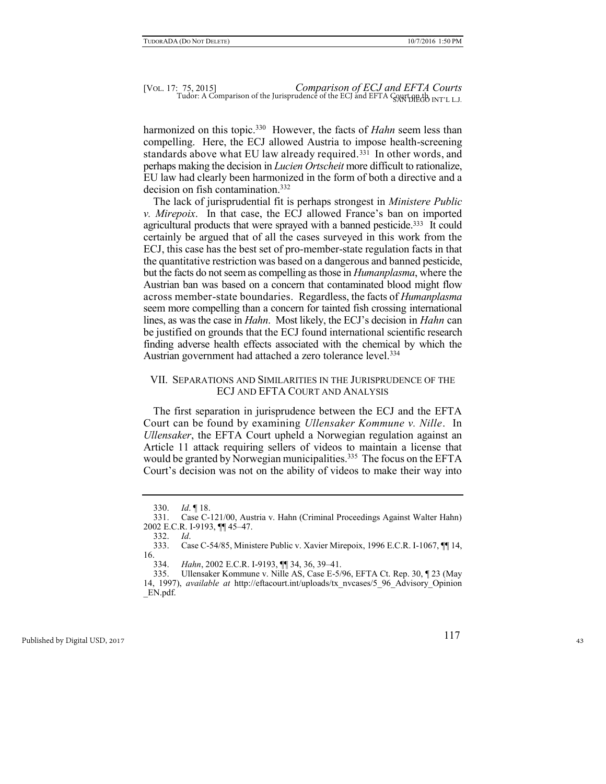harmonized on this topic.<sup>330</sup> However, the facts of *Hahn* seem less than compelling. Here, the ECJ allowed Austria to impose health-screening standards above what EU law already required.331 In other words, and perhaps making the decision in *Lucien Ortscheit* more difficult to rationalize, EU law had clearly been harmonized in the form of both a directive and a decision on fish contamination.<sup>332</sup>

The lack of jurisprudential fit is perhaps strongest in *Ministere Public v. Mirepoix*. In that case, the ECJ allowed France's ban on imported agricultural products that were sprayed with a banned pesticide.333 It could certainly be argued that of all the cases surveyed in this work from the ECJ, this case has the best set of pro-member-state regulation facts in that the quantitative restriction was based on a dangerous and banned pesticide, but the facts do not seem as compelling as those in *Humanplasma*, where the Austrian ban was based on a concern that contaminated blood might flow across member-state boundaries. Regardless, the facts of *Humanplasma* seem more compelling than a concern for tainted fish crossing international lines, as was the case in *Hahn*. Most likely, the ECJ's decision in *Hahn* can be justified on grounds that the ECJ found international scientific research finding adverse health effects associated with the chemical by which the Austrian government had attached a zero tolerance level.<sup>334</sup>

## VII. SEPARATIONS AND SIMILARITIES IN THE JURISPRUDENCE OF THE ECJ AND EFTA COURT AND ANALYSIS

The first separation in jurisprudence between the ECJ and the EFTA Court can be found by examining *Ullensaker Kommune v. Nille*. In *Ullensaker*, the EFTA Court upheld a Norwegian regulation against an Article 11 attack requiring sellers of videos to maintain a license that would be granted by Norwegian municipalities.<sup>335</sup> The focus on the EFTA Court's decision was not on the ability of videos to make their way into

<sup>330.</sup> *Id*. ¶ 18.

<sup>331.</sup> Case C-121/00, Austria v. Hahn (Criminal Proceedings Against Walter Hahn) 2002 E.C.R. I-9193, ¶¶ 45–47.

<sup>332.</sup> *Id*. Case C-54/85, Ministere Public v. Xavier Mirepoix, 1996 E.C.R. I-1067,  $\P\P$  14, 16.

<sup>334.</sup> *Hahn*, 2002 E.C.R. I-9193, ¶¶ 34, 36, 39–41.

<sup>335.</sup> Ullensaker Kommune v. Nille AS, Case E-5/96, EFTA Ct. Rep. 30, ¶ 23 (May

<sup>14, 1997),</sup> *available at* http://eftacourt.int/uploads/tx\_nvcases/5\_96\_Advisory\_Opinion \_EN.pdf.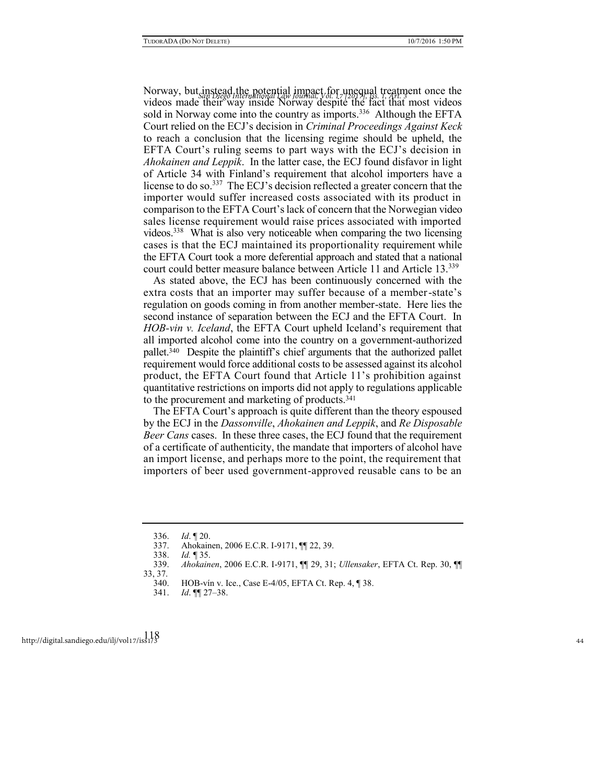Norway, but instead the potential impact for unequal treatment once the *San Diego International Law Journal, Vol. 17 [2017], Iss. 1, Art. 3* videos made their way inside Norway despite the fact that most videos sold in Norway come into the country as imports.<sup>336</sup> Although the EFTA Court relied on the ECJ's decision in *Criminal Proceedings Against Keck* to reach a conclusion that the licensing regime should be upheld, the EFTA Court's ruling seems to part ways with the ECJ's decision in *Ahokainen and Leppik*. In the latter case, the ECJ found disfavor in light of Article 34 with Finland's requirement that alcohol importers have a license to do so.<sup>337</sup> The ECJ's decision reflected a greater concern that the importer would suffer increased costs associated with its product in comparison to the EFTA Court's lack of concern that the Norwegian video sales license requirement would raise prices associated with imported videos.<sup>338</sup> What is also very noticeable when comparing the two licensing cases is that the ECJ maintained its proportionality requirement while the EFTA Court took a more deferential approach and stated that a national court could better measure balance between Article 11 and Article 13.<sup>339</sup>

As stated above, the ECJ has been continuously concerned with the extra costs that an importer may suffer because of a member-state's regulation on goods coming in from another member-state. Here lies the second instance of separation between the ECJ and the EFTA Court. In *HOB-vin v. Iceland*, the EFTA Court upheld Iceland's requirement that all imported alcohol come into the country on a government-authorized pallet.<sup>340</sup> Despite the plaintiff's chief arguments that the authorized pallet requirement would force additional costs to be assessed against its alcohol product, the EFTA Court found that Article 11's prohibition against quantitative restrictions on imports did not apply to regulations applicable to the procurement and marketing of products.<sup>341</sup>

The EFTA Court's approach is quite different than the theory espoused by the ECJ in the *Dassonville*, *Ahokainen and Leppik*, and *Re Disposable Beer Cans* cases. In these three cases, the ECJ found that the requirement of a certificate of authenticity, the mandate that importers of alcohol have an import license, and perhaps more to the point, the requirement that importers of beer used government-approved reusable cans to be an

<sup>336.</sup> *Id*. ¶ 20.

<sup>337.</sup> Ahokainen, 2006 E.C.R. I-9171, ¶¶ 22, 39.

<sup>338.</sup> *Id.* ¶ 35.

<sup>339.</sup> *Ahokainen*, 2006 E.C.R. I-9171, ¶¶ 29, 31; *Ullensaker*, EFTA Ct. Rep. 30, ¶¶

<sup>33, 37.</sup> 

<sup>340.</sup> HOB-vín v. Ice., Case E-4/05, EFTA Ct. Rep. 4, ¶ 38.

<sup>341.</sup> *Id*. ¶¶ 27–38.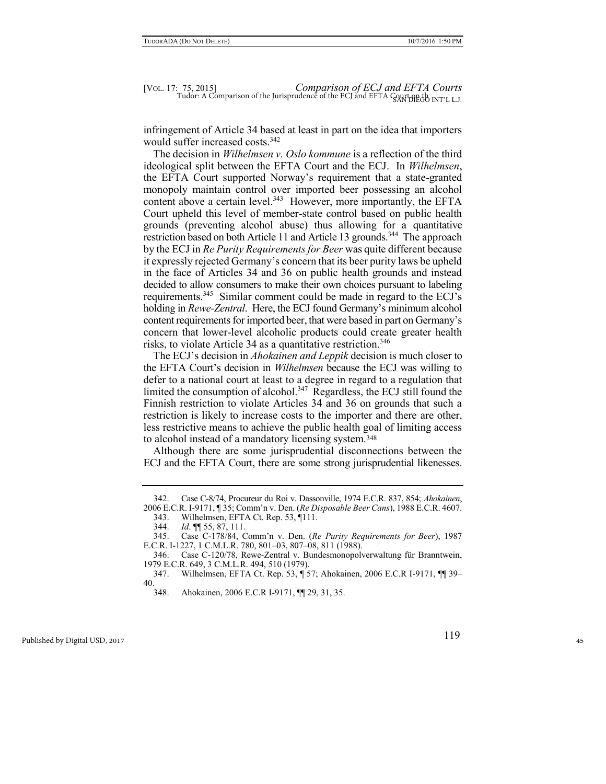infringement of Article 34 based at least in part on the idea that importers would suffer increased costs.<sup>342</sup>

The decision in *Wilhelmsen v. Oslo kommune* is a reflection of the third ideological split between the EFTA Court and the ECJ. In *Wilhelmsen*, the EFTA Court supported Norway's requirement that a state-granted monopoly maintain control over imported beer possessing an alcohol content above a certain level.<sup>343</sup> However, more importantly, the EFTA Court upheld this level of member-state control based on public health grounds (preventing alcohol abuse) thus allowing for a quantitative restriction based on both Article 11 and Article 13 grounds.<sup>344</sup> The approach by the ECJ in *Re Purity Requirements for Beer* was quite different because it expressly rejected Germany's concern that its beer purity laws be upheld in the face of Articles 34 and 36 on public health grounds and instead decided to allow consumers to make their own choices pursuant to labeling requirements.<sup>345</sup> Similar comment could be made in regard to the ECJ's holding in *Rewe-Zentral*. Here, the ECJ found Germany's minimum alcohol content requirements for imported beer, that were based in part on Germany's concern that lower-level alcoholic products could create greater health risks, to violate Article 34 as a quantitative restriction.<sup>346</sup>

The ECJ's decision in *Ahokainen and Leppik* decision is much closer to the EFTA Court's decision in *Wilhelmsen* because the ECJ was willing to defer to a national court at least to a degree in regard to a regulation that limited the consumption of alcohol.<sup>347</sup> Regardless, the ECJ still found the Finnish restriction to violate Articles 34 and 36 on grounds that such a restriction is likely to increase costs to the importer and there are other, less restrictive means to achieve the public health goal of limiting access to alcohol instead of a mandatory licensing system.<sup>348</sup>

Although there are some jurisprudential disconnections between the ECJ and the EFTA Court, there are some strong jurisprudential likenesses.

<sup>342.</sup> Case C-8/74, Procureur du Roi v. Dassonville, 1974 E.C.R. 837, 854; *Ahokainen*, 2006 E.C.R. I-9171, ¶ 35; Comm'n v. Den. (*Re Disposable Beer Cans*), 1988 E.C.R. 4607.

<sup>343.</sup> Wilhelmsen, EFTA Ct. Rep. 53, ¶111.

<sup>344.</sup> *Id*. ¶¶ 55, 87, 111.

<sup>345.</sup> Case C-178/84, Comm'n v. Den. (*Re Purity Requirements for Beer*), 1987 E.C.R. I-1227, 1 C.M.L.R. 780, 801–03, 807–08, 811 (1988).

<sup>346.</sup> Case C-120/78, Rewe-Zentral v. Bundesmonopolverwaltung für Branntwein, 1979 E.C.R. 649, 3 C.M.L.R. 494, 510 (1979).

<sup>347.</sup> Wilhelmsen, EFTA Ct. Rep. 53, ¶ 57; Ahokainen, 2006 E.C.R I-9171, ¶¶ 39– 40.

<sup>348.</sup> Ahokainen, 2006 E.C.R I-9171, ¶¶ 29, 31, 35.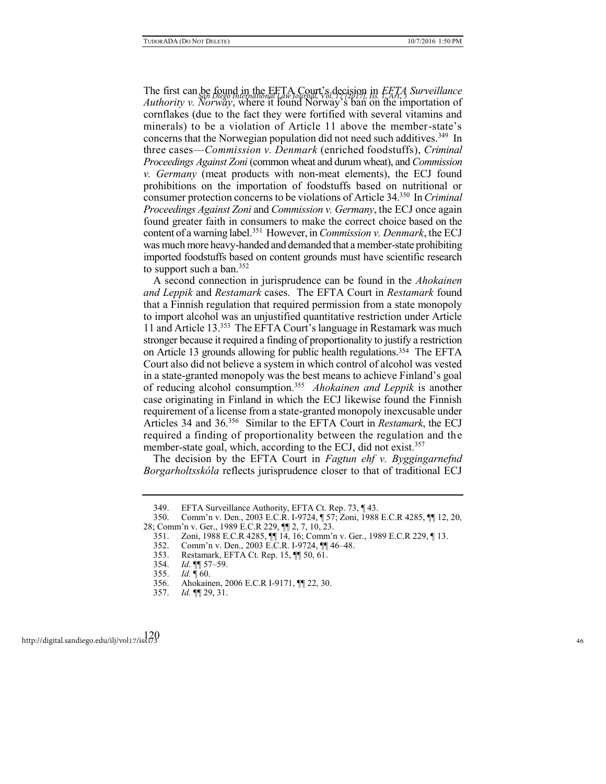The first can be found in the EFTA Court's decision in *EFTA Surveillance San Diego International Law Journal, Vol. 17 [2017], Iss. 1, Art. 3 Authority v. Norway*, where it found Norway's ban on the importation of cornflakes (due to the fact they were fortified with several vitamins and minerals) to be a violation of Article 11 above the member-state's concerns that the Norwegian population did not need such additives.<sup>349</sup> In three cases—*Commission v. Denmark* (enriched foodstuffs), *Criminal Proceedings Against Zoni* (common wheat and durum wheat), and *Commission v. Germany* (meat products with non-meat elements), the ECJ found prohibitions on the importation of foodstuffs based on nutritional or consumer protection concerns to be violations of Article 34.<sup>350</sup> In *Criminal Proceedings Against Zoni* and *Commission v. Germany*, the ECJ once again found greater faith in consumers to make the correct choice based on the content of a warning label.<sup>351</sup> However, in *Commission v. Denmark*, the ECJ was much more heavy-handed and demanded that a member-state prohibiting imported foodstuffs based on content grounds must have scientific research to support such a ban.<sup>352</sup>

A second connection in jurisprudence can be found in the *Ahokainen and Leppik* and *Restamark* cases. The EFTA Court in *Restamark* found that a Finnish regulation that required permission from a state monopoly to import alcohol was an unjustified quantitative restriction under Article 11 and Article 13.<sup>353</sup> The EFTA Court's language in Restamark was much stronger because it required a finding of proportionality to justify a restriction on Article 13 grounds allowing for public health regulations.354 The EFTA Court also did not believe a system in which control of alcohol was vested in a state-granted monopoly was the best means to achieve Finland's goal of reducing alcohol consumption.<sup>355</sup> Ahokainen and Leppik is another case originating in Finland in which the ECJ likewise found the Finnish requirement of a license from a state-granted monopoly inexcusable under Articles 34 and 36.<sup>356</sup> Similar to the EFTA Court in *Restamark*, the ECJ required a finding of proportionality between the regulation and the member-state goal, which, according to the ECJ, did not exist.<sup>357</sup>

The decision by the EFTA Court in *Fagtun ehf v. Byggingarnefnd Borgarholtsskóla* reflects jurisprudence closer to that of traditional ECJ

<sup>349.</sup> EFTA Surveillance Authority, EFTA Ct. Rep. 73, ¶ 43.

<sup>350.</sup> Comm'n v. Den., 2003 E.C.R. I-9724, ¶ 57; Zoni, 1988 E.C.R 4285, ¶¶ 12, 20, 28; Comm'n v. Ger., 1989 E.C.R 229, ¶¶ 2, 7, 10, 23.

<sup>351.</sup> Zoni, 1988 E.C.R 4285, ¶¶ 14, 16; Comm'n v. Ger., 1989 E.C.R 229, ¶ 13.

<sup>352.</sup> Comm'n v. Den., 2003 E.C.R. I-9724, ¶¶ 46–48.

<sup>353.</sup> Restamark, EFTA Ct. Rep. 15, ¶¶ 50, 61.

<sup>354.</sup> *Id*. ¶¶ 57–59.

<sup>355.</sup> *Id.* ¶ 60.

<sup>356.</sup> Ahokainen, 2006 E.C.R I-9171, ¶¶ 22, 30.

<sup>357.</sup> *Id.* ¶¶ 29, 31.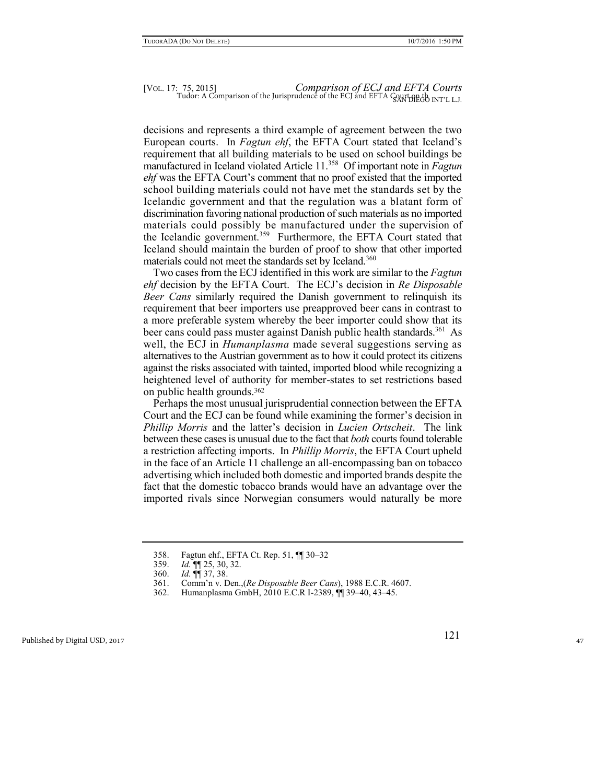decisions and represents a third example of agreement between the two European courts. In *Fagtun ehf*, the EFTA Court stated that Iceland's requirement that all building materials to be used on school buildings be manufactured in Iceland violated Article 11.<sup>358</sup> Of important note in *Fagtun ehf* was the EFTA Court's comment that no proof existed that the imported school building materials could not have met the standards set by the Icelandic government and that the regulation was a blatant form of discrimination favoring national production of such materials as no imported materials could possibly be manufactured under the supervision of the Icelandic government.<sup>359</sup> Furthermore, the EFTA Court stated that Iceland should maintain the burden of proof to show that other imported materials could not meet the standards set by Iceland.<sup>360</sup>

Two cases from the ECJ identified in this work are similar to the *Fagtun ehf* decision by the EFTA Court. The ECJ's decision in *Re Disposable Beer Cans* similarly required the Danish government to relinquish its requirement that beer importers use preapproved beer cans in contrast to a more preferable system whereby the beer importer could show that its beer cans could pass muster against Danish public health standards.<sup>361</sup> As well, the ECJ in *Humanplasma* made several suggestions serving as alternatives to the Austrian government as to how it could protect its citizens against the risks associated with tainted, imported blood while recognizing a heightened level of authority for member-states to set restrictions based on public health grounds.<sup>362</sup>

Perhaps the most unusual jurisprudential connection between the EFTA Court and the ECJ can be found while examining the former's decision in *Phillip Morris* and the latter's decision in *Lucien Ortscheit*. The link between these cases is unusual due to the fact that *both* courts found tolerable a restriction affecting imports. In *Phillip Morris*, the EFTA Court upheld in the face of an Article 11 challenge an all-encompassing ban on tobacco advertising which included both domestic and imported brands despite the fact that the domestic tobacco brands would have an advantage over the imported rivals since Norwegian consumers would naturally be more

<sup>358.</sup> Fagtun ehf., EFTA Ct. Rep. 51, ¶¶ 30–32

<sup>359.</sup> *Id.* ¶¶ 25, 30, 32.

<sup>360.</sup> *Id.* ¶¶ 37, 38.

<sup>361.</sup> Comm'n v. Den.,(*Re Disposable Beer Cans*), 1988 E.C.R. 4607.

<sup>362.</sup> Humanplasma GmbH, 2010 E.C.R I-2389, ¶¶ 39–40, 43–45.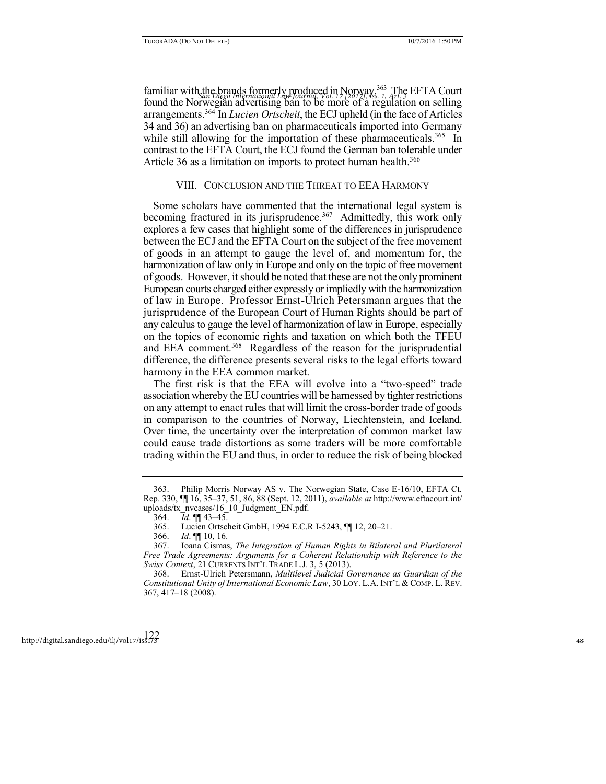familiar with the brands formerly produced in Norway<sup>363</sup> The EFTA Court found the Norwegian advertising ban to be more of a regulation on selling arrangements.<sup>364</sup> In *Lucien Ortscheit*, the ECJ upheld (in the face of Articles 34 and 36) an advertising ban on pharmaceuticals imported into Germany while still allowing for the importation of these pharmaceuticals.<sup>365</sup> In contrast to the EFTA Court, the ECJ found the German ban tolerable under Article 36 as a limitation on imports to protect human health.<sup>366</sup>

#### VIII. CONCLUSION AND THE THREAT TO EEA HARMONY

Some scholars have commented that the international legal system is becoming fractured in its jurisprudence.<sup>367</sup> Admittedly, this work only explores a few cases that highlight some of the differences in jurisprudence between the ECJ and the EFTA Court on the subject of the free movement of goods in an attempt to gauge the level of, and momentum for, the harmonization of law only in Europe and only on the topic of free movement of goods. However, it should be noted that these are not the only prominent European courts charged either expressly or impliedly with the harmonization of law in Europe. Professor Ernst-Ulrich Petersmann argues that the jurisprudence of the European Court of Human Rights should be part of any calculus to gauge the level of harmonization of law in Europe, especially on the topics of economic rights and taxation on which both the TFEU and EEA comment.<sup>368</sup> Regardless of the reason for the jurisprudential difference, the difference presents several risks to the legal efforts toward harmony in the EEA common market.

The first risk is that the EEA will evolve into a "two-speed" trade association whereby the EU countries will be harnessed by tighter restrictions on any attempt to enact rules that will limit the cross-border trade of goods in comparison to the countries of Norway, Liechtenstein, and Iceland. Over time, the uncertainty over the interpretation of common market law could cause trade distortions as some traders will be more comfortable trading within the EU and thus, in order to reduce the risk of being blocked

<sup>363.</sup> Philip Morris Norway AS v. The Norwegian State, Case E-16/10, EFTA Ct. Rep. 330, ¶¶ 16, 35–37, 51, 86, 88 (Sept. 12, 2011), *[available at](http://www.eftacourt.int/uploads/tx_nvcases/16_10_Judgment_EN.pdf)* http://www.eftacourt.int/ uploads/tx\_nvcases/16\_10\_Judgment\_EN.pdf.

<sup>364.</sup> *Id*. ¶¶ 43–45.

<sup>365.</sup> Lucien Ortscheit GmbH, 1994 E.C.R I-5243, ¶¶ 12, 20–21.

<sup>366.</sup> *Id*. ¶¶ 10, 16.

<sup>367.</sup> Ioana Cismas, *The Integration of Human Rights in Bilateral and Plurilateral Free Trade Agreements: Arguments for a Coherent Relationship with Reference to the Swiss Context*, 21 CURRENTS INT'L TRADE L.J. 3, 5 (2013).

<sup>368.</sup> Ernst-Ulrich Petersmann, *Multilevel Judicial Governance as Guardian of the Constitutional Unity of International Economic Law*, 30 LOY. L.A. INT'L & COMP. L. REV. 367, 417–18 (2008).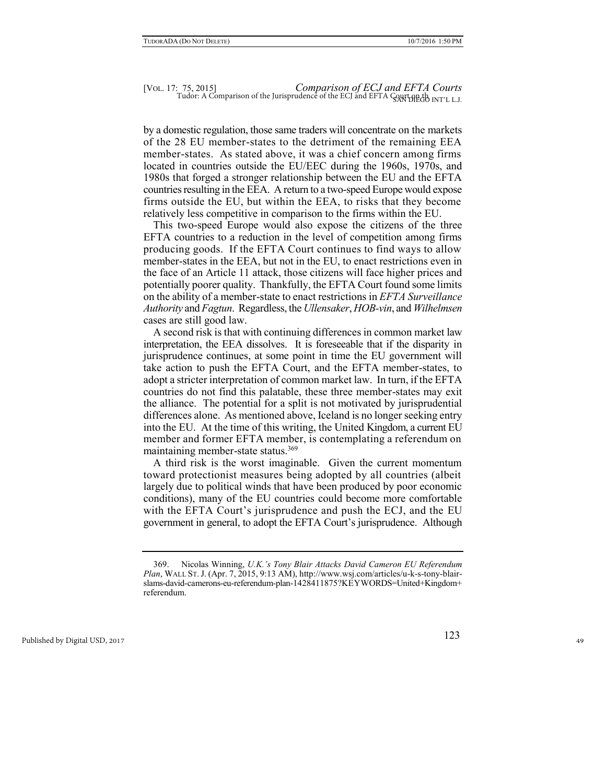by a domestic regulation, those same traders will concentrate on the markets of the 28 EU member-states to the detriment of the remaining EEA member-states. As stated above, it was a chief concern among firms located in countries outside the EU/EEC during the 1960s, 1970s, and 1980s that forged a stronger relationship between the EU and the EFTA countries resulting in the EEA. A return to a two-speed Europe would expose firms outside the EU, but within the EEA, to risks that they become relatively less competitive in comparison to the firms within the EU.

This two-speed Europe would also expose the citizens of the three EFTA countries to a reduction in the level of competition among firms producing goods. If the EFTA Court continues to find ways to allow member-states in the EEA, but not in the EU, to enact restrictions even in the face of an Article 11 attack, those citizens will face higher prices and potentially poorer quality. Thankfully, the EFTA Court found some limits on the ability of a member-state to enact restrictions in *EFTA Surveillance Authority* and *Fagtun*. Regardless, the *Ullensaker*, *HOB-vin*, and *Wilhelmsen* cases are still good law.

A second risk is that with continuing differences in common market law interpretation, the EEA dissolves. It is foreseeable that if the disparity in jurisprudence continues, at some point in time the EU government will take action to push the EFTA Court, and the EFTA member-states, to adopt a stricter interpretation of common market law. In turn, if the EFTA countries do not find this palatable, these three member-states may exit the alliance. The potential for a split is not motivated by jurisprudential differences alone. As mentioned above, Iceland is no longer seeking entry into the EU. At the time of this writing, the United Kingdom, a current EU member and former EFTA member, is contemplating a referendum on maintaining member-state status.<sup>369</sup>

A third risk is the worst imaginable. Given the current momentum toward protectionist measures being adopted by all countries (albeit largely due to political winds that have been produced by poor economic conditions), many of the EU countries could become more comfortable with the EFTA Court's jurisprudence and push the ECJ, and the EU government in general, to adopt the EFTA Court's jurisprudence. Although

<sup>369.</sup> Nicolas Winning, *U.K.'s Tony Blair Attacks David Cameron EU Referendum Plan*, WALL ST.J. (Apr. 7, 2015, 9:13 AM), http://www.wsj.com/articles/u-k-s-tony-blairslams-david-camerons-eu-referendum-plan-1428411875?KEYWORDS=United+Kingdom+ referendum.